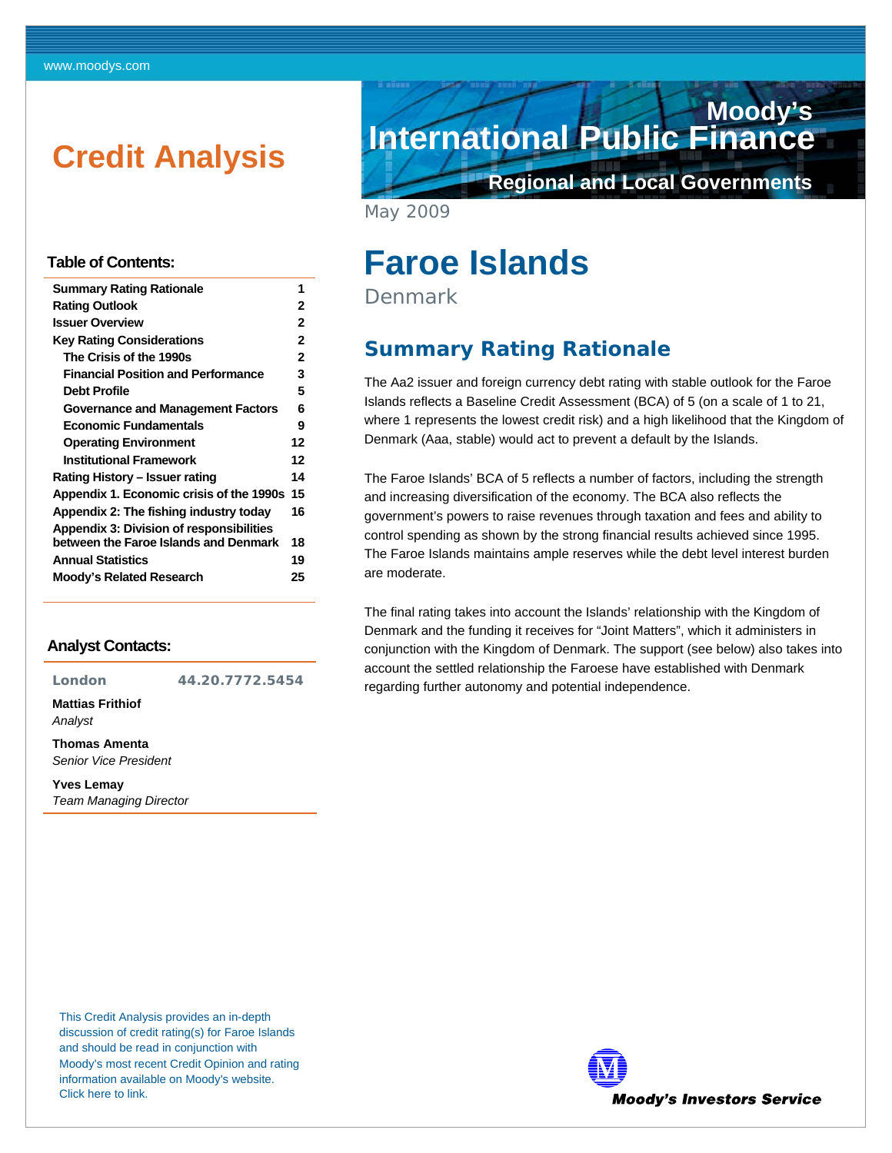# <span id="page-0-0"></span>**Credit Analysis**

#### **Table of Contents:**

| <b>Summary Rating Rationale</b>                 | 1  |  |
|-------------------------------------------------|----|--|
| <b>Rating Outlook</b>                           | 2  |  |
| <b>Issuer Overview</b>                          | 2  |  |
| <b>Key Rating Considerations</b>                | 2  |  |
| The Crisis of the 1990s                         | 2  |  |
| <b>Financial Position and Performance</b>       | 3  |  |
| <b>Debt Profile</b>                             | 5  |  |
| <b>Governance and Management Factors</b>        | 6  |  |
| <b>Economic Fundamentals</b>                    | 9  |  |
| <b>Operating Environment</b>                    | 12 |  |
| <b>Institutional Framework</b>                  | 12 |  |
| Rating History – Issuer rating                  | 14 |  |
| Appendix 1. Economic crisis of the 1990s        | 15 |  |
| Appendix 2: The fishing industry today          | 16 |  |
| <b>Appendix 3: Division of responsibilities</b> |    |  |
| between the Faroe Islands and Denmark           | 18 |  |
| <b>Annual Statistics</b>                        | 19 |  |
| <b>Moody's Related Research</b>                 | 25 |  |
|                                                 |    |  |

#### **Analyst Contacts:**

**London 44.20.7772.5454** 

**Mattias Frithiof**  *Analyst* 

**Thomas Amenta**  *Senior Vice President* 

**Yves Lemay** 

*Team Managing Director* 

**International Public Finance Moody's**

**Regional and Local Governments**

May 2009

# **Faroe Islands**

Denmark

### **Summary Rating Rationale**

The Aa2 issuer and foreign currency debt rating with stable outlook for the Faroe Islands reflects a Baseline Credit Assessment (BCA) of 5 (on a scale of 1 to 21, where 1 represents the lowest credit risk) and a high likelihood that the Kingdom of Denmark (Aaa, stable) would act to prevent a default by the Islands.

The Faroe Islands' BCA of 5 reflects a number of factors, including the strength and increasing diversification of the economy. The BCA also reflects the government's powers to raise revenues through taxation and fees and ability to control spending as shown by the strong financial results achieved since 1995. The Faroe Islands maintains ample reserves while the debt level interest burden are moderate.

The final rating takes into account the Islands' relationship with the Kingdom of Denmark and the funding it receives for "Joint Matters", which it administers in conjunction with the Kingdom of Denmark. The support (see below) also takes into account the settled relationship the Faroese have established with Denmark regarding further autonomy and potential independence.

This Credit Analysis provides an in-depth discussion of credit rating(s) for Faroe Islands and should be read in conjunction with Moody's most recent Credit Opinion and rating information available on Moody's website. [Click here to link.](http://www.moodys.com/cust/se.asp?sQ=820822439&s=5) 

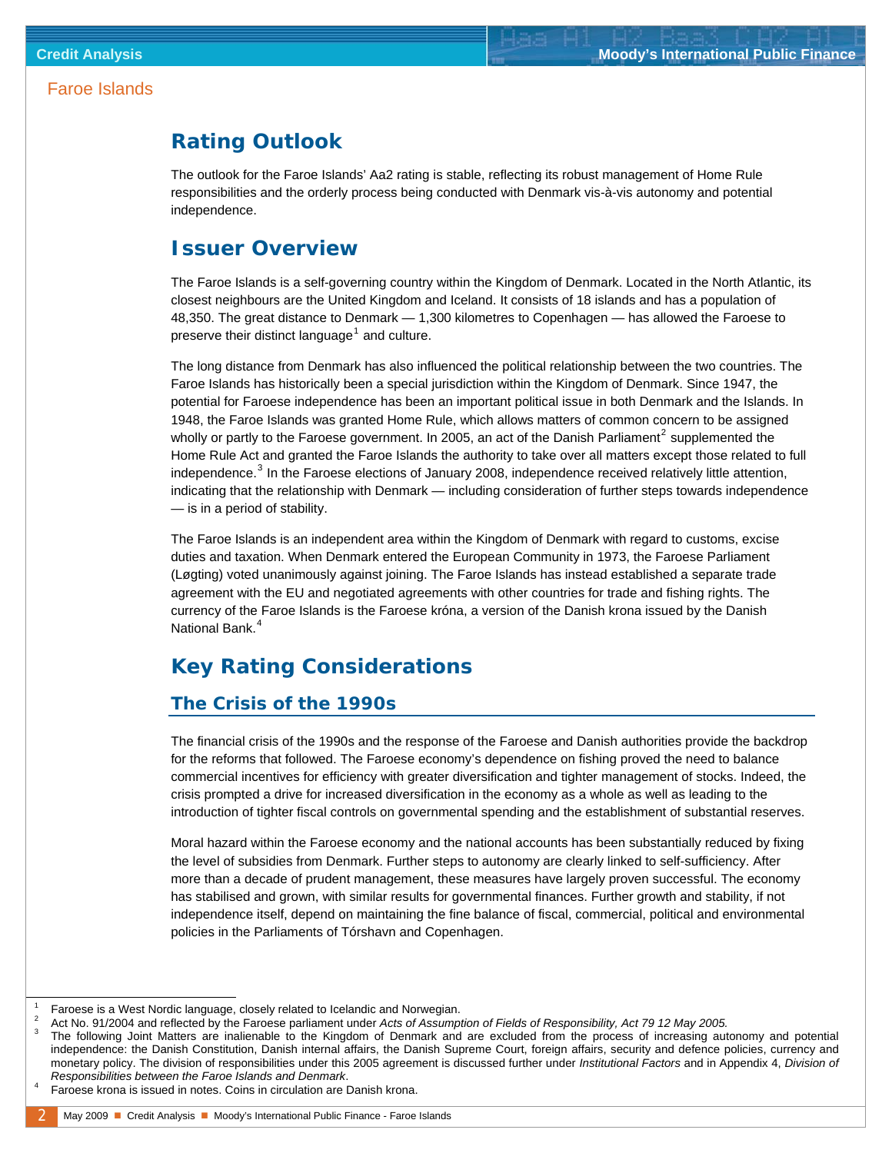### <span id="page-1-0"></span>**Rating Outlook**

The outlook for the Faroe Islands' Aa2 rating is stable, reflecting its robust management of Home Rule responsibilities and the orderly process being conducted with Denmark vis-à-vis autonomy and potential independence.

### **Issuer Overview**

The Faroe Islands is a self-governing country within the Kingdom of Denmark. Located in the North Atlantic, its closest neighbours are the United Kingdom and Iceland. It consists of 18 islands and has a population of 48,350. The great distance to Denmark — 1,300 kilometres to Copenhagen — has allowed the Faroese to preserve their distinct language<sup>[1](#page-1-1)</sup> and culture.

Home Rule Act and granted the Faroe Islands the authority to take over all matters except those related to full The long distance from Denmark has also influenced the political relationship between the two countries. The Faroe Islands has historically been a special jurisdiction within the Kingdom of Denmark. Since 1947, the potential for Faroese independence has been an important political issue in both Denmark and the Islands. In 1948, the Faroe Islands was granted Home Rule, which allows matters of common concern to be assigned wholly or partly to the Faroese government. In [2](#page-1-2)005, an act of the Danish Parliament<sup>2</sup> supplemented the independence.<sup>[3](#page-1-3)</sup> In the Faroese elections of January 2008, independence received relatively little attention, indicating that the relationship with Denmark — including consideration of further steps towards independence — is in a period of stability.

The Faroe Islands is an independent area within the Kingdom of Denmark with regard to customs, excise duties and taxation. When Denmark entered the European Community in 1973, the Faroese Parliament (Løgting) voted unanimously against joining. The Faroe Islands has instead established a separate trade agreement with the EU and negotiated agreements with other countries for trade and fishing rights. The currency of the Faroe Islands is the Faroese króna, a version of the Danish krona issued by the Danish National Bank.<sup>[4](#page-1-4)</sup>

## **Key Rating Considerations**

### **The Crisis of the 1990s**

The financial crisis of the 1990s and the response of the Faroese and Danish authorities provide the backdrop for the reforms that followed. The Faroese economy's dependence on fishing proved the need to balance commercial incentives for efficiency with greater diversification and tighter management of stocks. Indeed, the crisis prompted a drive for increased diversification in the economy as a whole as well as leading to the introduction of tighter fiscal controls on governmental spending and the establishment of substantial reserves.

Moral hazard within the Faroese economy and the national accounts has been substantially reduced by fixing the level of subsidies from Denmark. Further steps to autonomy are clearly linked to self-sufficiency. After more than a decade of prudent management, these measures have largely proven successful. The economy has stabilised and grown, with similar results for governmental finances. Further growth and stability, if not independence itself, depend on maintaining the fine balance of fiscal, commercial, political and environmental policies in the Parliaments of Tórshavn and Copenhagen.

 $\overline{\phantom{a}}$  Faroese is a West Nordic language, closely related to Icelandic and Norwegian. 2

<sup>&</sup>lt;sup>2</sup> Act No. 91/2004 and reflected by the Faroese parliament under *Acts of Assumption of Fields of Responsibility, Act 79 12 May 2005.*<br><sup>3</sup> The following Jaint Matters are inclinable to the Kingdam of Degmany and are avalu

The following Joint Matters are inalienable to the Kingdom of Denmark and are excluded from the process of increasing autonomy and potential independence: the Danish Constitution, Danish internal affairs, the Danish Supreme Court, foreign affairs, security and defence policies, currency and monetary policy. The division of responsibilities under this 2005 agreement is discussed further under *Institutional Factors* and in Appendix 4, *Division of Responsibilities between the Faroe Islands and Denmark*. 4

<span id="page-1-4"></span><span id="page-1-3"></span><span id="page-1-2"></span><span id="page-1-1"></span>Faroese krona is issued in notes. Coins in circulation are Danish krona.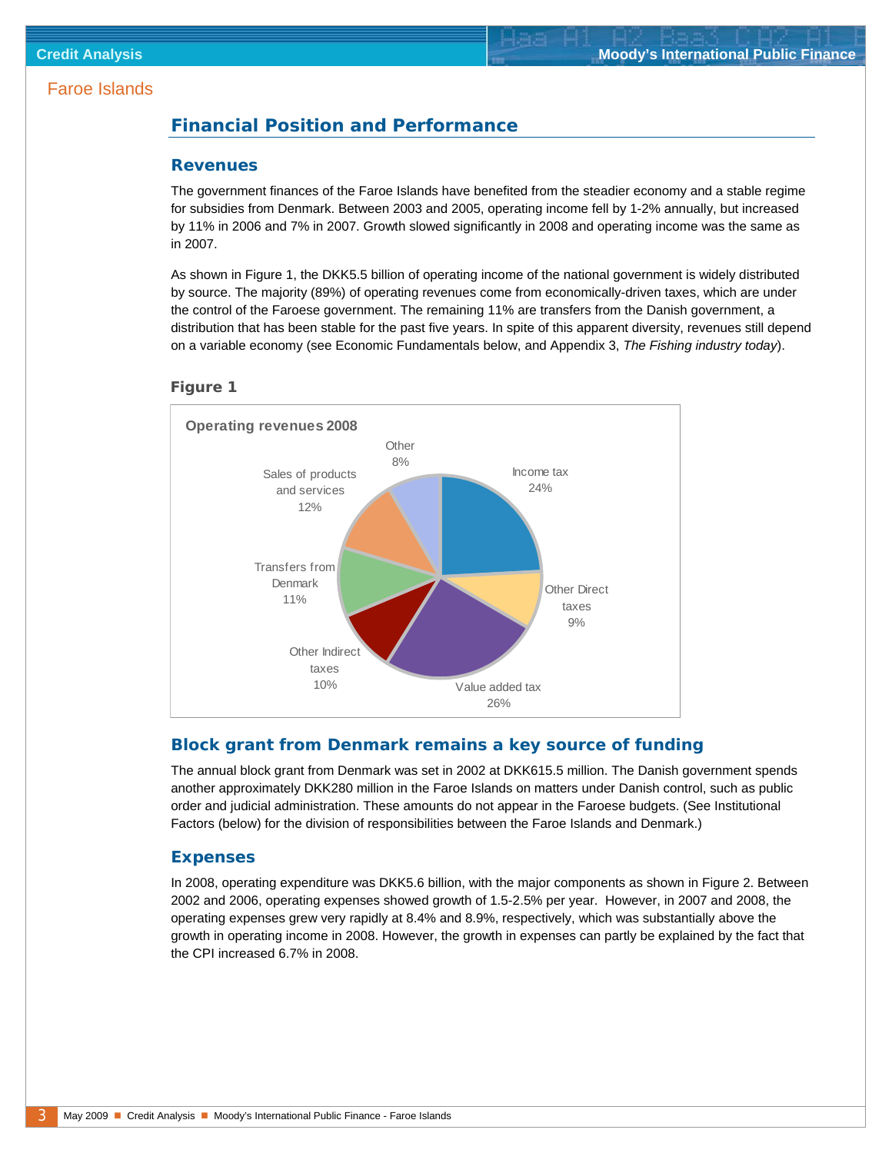### <span id="page-2-0"></span>**Financial Position and Performance**

#### **Revenues**

The government finances of the Faroe Islands have benefited from the steadier economy and a stable regime for subsidies from Denmark. Between 2003 and 2005, operating income fell by 1-2% annually, but increased by 11% in 2006 and 7% in 2007. Growth slowed significantly in 2008 and operating income was the same as in 2007.

As shown in Figure 1, the DKK5.5 billion of operating income of the national government is widely distributed by source. The majority (89%) of operating revenues come from economically-driven taxes, which are under the control of the Faroese government. The remaining 11% are transfers from the Danish government, a distribution that has been stable for the past five years. In spite of this apparent diversity, revenues still depend on a variable economy (see Economic Fundamentals below, and Appendix 3, *The Fishing industry today*).





#### **Block grant from Denmark remains a key source of funding**

The annual block grant from Denmark was set in 2002 at DKK615.5 million. The Danish government spends another approximately DKK280 million in the Faroe Islands on matters under Danish control, such as public order and judicial administration. These amounts do not appear in the Faroese budgets. (See Institutional Factors (below) for the division of responsibilities between the Faroe Islands and Denmark.)

#### **Expenses**

In 2008, operating expenditure was DKK5.6 billion, with the major components as shown in Figure 2. Between 2002 and 2006, operating expenses showed growth of 1.5-2.5% per year. However, in 2007 and 2008, the operating expenses grew very rapidly at 8.4% and 8.9%, respectively, which was substantially above the growth in operating income in 2008. However, the growth in expenses can partly be explained by the fact that the CPI increased 6.7% in 2008.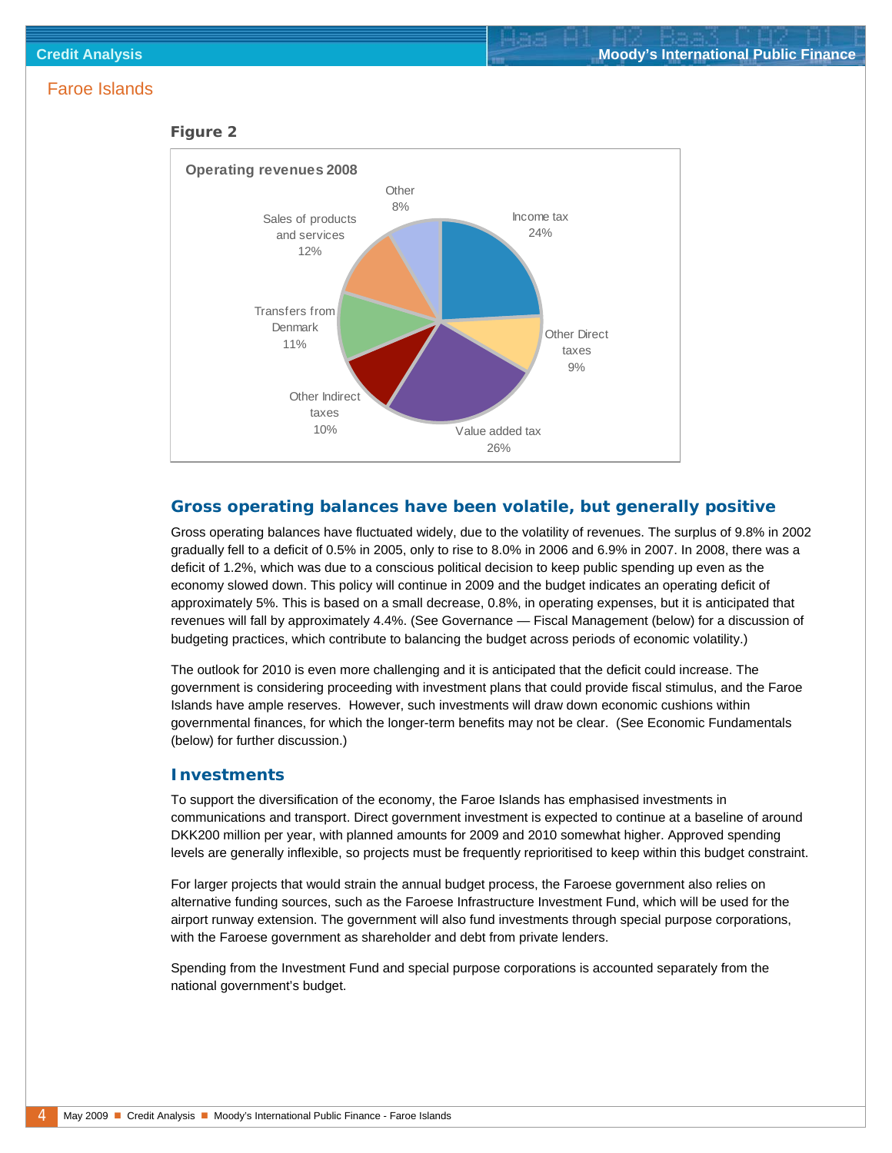#### *Figure 2*



#### **Gross operating balances have been volatile, but generally positive**

Gross operating balances have fluctuated widely, due to the volatility of revenues. The surplus of 9.8% in 2002 gradually fell to a deficit of 0.5% in 2005, only to rise to 8.0% in 2006 and 6.9% in 2007. In 2008, there was a deficit of 1.2%, which was due to a conscious political decision to keep public spending up even as the economy slowed down. This policy will continue in 2009 and the budget indicates an operating deficit of approximately 5%. This is based on a small decrease, 0.8%, in operating expenses, but it is anticipated that revenues will fall by approximately 4.4%. (See Governance — Fiscal Management (below) for a discussion of budgeting practices, which contribute to balancing the budget across periods of economic volatility.)

The outlook for 2010 is even more challenging and it is anticipated that the deficit could increase. The government is considering proceeding with investment plans that could provide fiscal stimulus, and the Faroe Islands have ample reserves. However, such investments will draw down economic cushions within governmental finances, for which the longer-term benefits may not be clear. (See Economic Fundamentals (below) for further discussion.)

#### **Investments**

To support the diversification of the economy, the Faroe Islands has emphasised investments in communications and transport. Direct government investment is expected to continue at a baseline of around DKK200 million per year, with planned amounts for 2009 and 2010 somewhat higher. Approved spending levels are generally inflexible, so projects must be frequently reprioritised to keep within this budget constraint.

For larger projects that would strain the annual budget process, the Faroese government also relies on alternative funding sources, such as the Faroese Infrastructure Investment Fund, which will be used for the airport runway extension. The government will also fund investments through special purpose corporations, with the Faroese government as shareholder and debt from private lenders.

Spending from the Investment Fund and special purpose corporations is accounted separately from the national government's budget.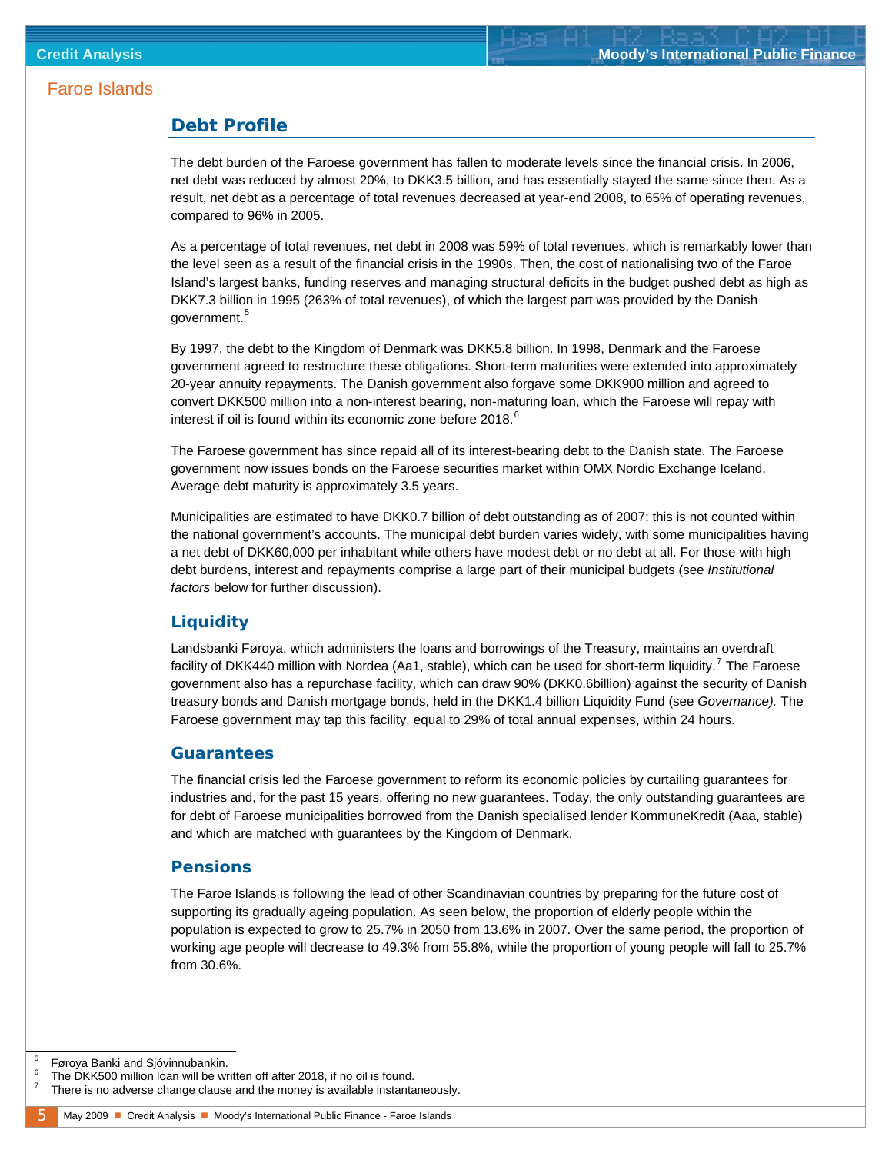#### <span id="page-4-0"></span>**Debt Profile**

The debt burden of the Faroese government has fallen to moderate levels since the financial crisis. In 2006, net debt was reduced by almost 20%, to DKK3.5 billion, and has essentially stayed the same since then. As a result, net debt as a percentage of total revenues decreased at year-end 2008, to 65% of operating revenues, compared to 96% in 2005.

As a percentage of total revenues, net debt in 2008 was 59% of total revenues, which is remarkably lower than the level seen as a result of the financial crisis in the 1990s. Then, the cost of nationalising two of the Faroe Island's largest banks, funding reserves and managing structural deficits in the budget pushed debt as high as DKK7.3 billion in 1995 (263% of total revenues), of which the largest part was provided by the Danish government.<sup>[5](#page-4-1)</sup>

By 1997, the debt to the Kingdom of Denmark was DKK5.8 billion. In 1998, Denmark and the Faroese government agreed to restructure these obligations. Short-term maturities were extended into approximately 20-year annuity repayments. The Danish government also forgave some DKK900 million and agreed to convert DKK500 million into a non-interest bearing, non-maturing loan, which the Faroese will repay with interest if oil is found within its economic zone before 2018. $^6$  $^6$ 

The Faroese government has since repaid all of its interest-bearing debt to the Danish state. The Faroese government now issues bonds on the Faroese securities market within OMX Nordic Exchange Iceland. Average debt maturity is approximately 3.5 years.

Municipalities are estimated to have DKK0.7 billion of debt outstanding as of 2007; this is not counted within the national government's accounts. The municipal debt burden varies widely, with some municipalities having a net debt of DKK60,000 per inhabitant while others have modest debt or no debt at all. For those with high debt burdens, interest and repayments comprise a large part of their municipal budgets (see *Institutional factors* below for further discussion).

#### **Liquidity**

Landsbanki Føroya, which administers the loans and borrowings of the Treasury, maintains an overdraft facility of DKK440 million with Nordea (Aa1, stable), which can be used for short-term liquidity.<sup>[7](#page-4-3)</sup> The Faroese government also has a repurchase facility, which can draw 90% (DKK0.6billion) against the security of Danish treasury bonds and Danish mortgage bonds, held in the DKK1.4 billion Liquidity Fund (see *Governance).* The Faroese government may tap this facility, equal to 29% of total annual expenses, within 24 hours.

#### **Guarantees**

The financial crisis led the Faroese government to reform its economic policies by curtailing guarantees for industries and, for the past 15 years, offering no new guarantees. Today, the only outstanding guarantees are for debt of Faroese municipalities borrowed from the Danish specialised lender KommuneKredit (Aaa, stable) and which are matched with guarantees by the Kingdom of Denmark.

#### **Pensions**

The Faroe Islands is following the lead of other Scandinavian countries by preparing for the future cost of supporting its gradually ageing population. As seen below, the proportion of elderly people within the population is expected to grow to 25.7% in 2050 from 13.6% in 2007. Over the same period, the proportion of working age people will decrease to 49.3% from 55.8%, while the proportion of young people will fall to 25.7% from 30.6%.

<span id="page-4-1"></span> <sup>5</sup> Føroya Banki and Sjóvinnubankin.

<sup>6</sup> The DKK500 million loan will be written off after 2018, if no oil is found.

<span id="page-4-3"></span><span id="page-4-2"></span><sup>7</sup> There is no adverse change clause and the money is available instantaneously.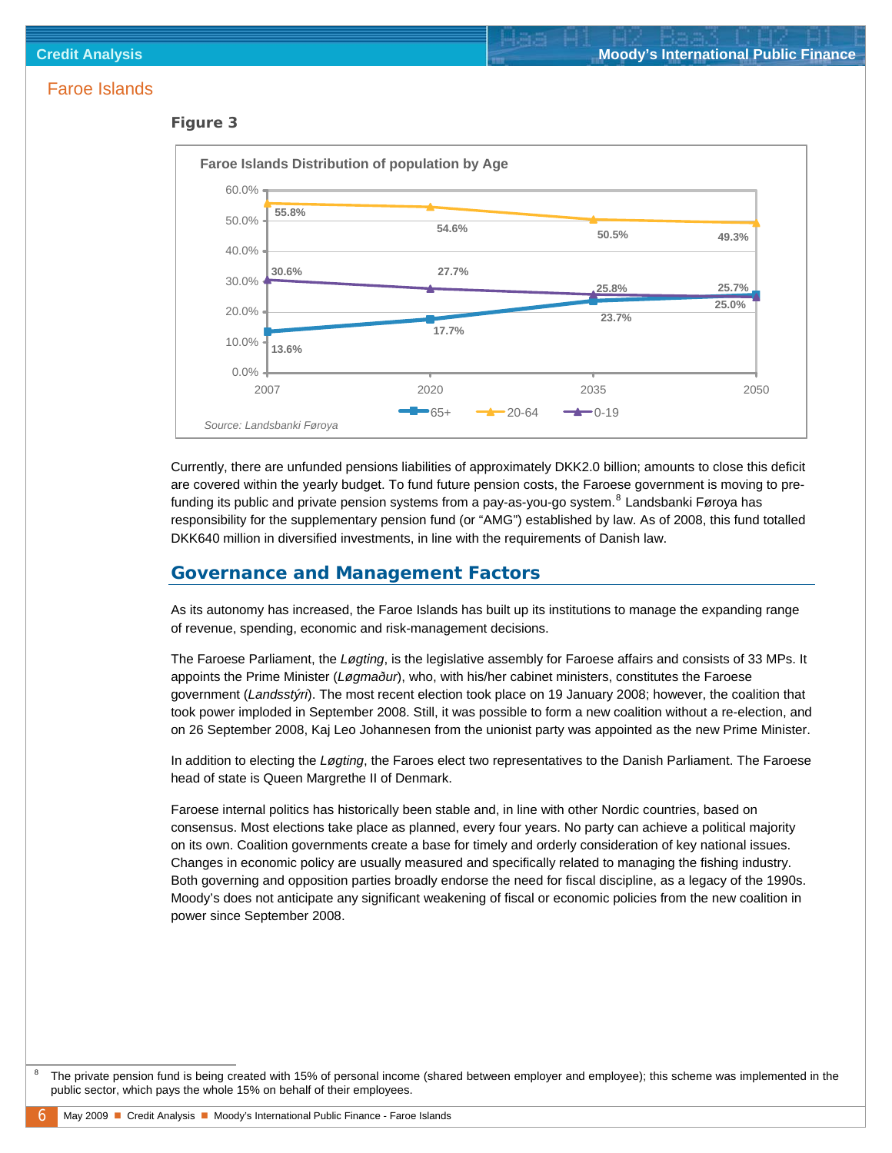#### <span id="page-5-0"></span>*Figure 3*



Currently, there are unfunded pensions liabilities of approximately DKK2.0 billion; amounts to close this deficit are covered within the yearly budget. To fund future pension costs, the Faroese government is moving to pre-funding its public and private pension systems from a pay-as-you-go system.<sup>[8](#page-5-0)</sup> Landsbanki Føroya has responsibility for the supplementary pension fund (or "AMG") established by law. As of 2008, this fund totalled DKK640 million in diversified investments, in line with the requirements of Danish law.

#### **Governance and Management Factors**

As its autonomy has increased, the Faroe Islands has built up its institutions to manage the expanding range of revenue, spending, economic and risk-management decisions.

The Faroese Parliament, the *Løgting*, is the legislative assembly for Faroese affairs and consists of 33 MPs. It appoints the Prime Minister (*Løgmaður*), who, with his/her cabinet ministers, constitutes the Faroese government (*Landsstýri*). The most recent election took place on 19 January 2008; however, the coalition that took power imploded in September 2008. Still, it was possible to form a new coalition without a re-election, and on 26 September 2008, Kaj Leo Johannesen from the unionist party was appointed as the new Prime Minister.

In addition to electing the *Løgting*, the Faroes elect two representatives to the Danish Parliament. The Faroese head of state is Queen Margrethe II of Denmark.

Faroese internal politics has historically been stable and, in line with other Nordic countries, based on consensus. Most elections take place as planned, every four years. No party can achieve a political majority on its own. Coalition governments create a base for timely and orderly consideration of key national issues. Changes in economic policy are usually measured and specifically related to managing the fishing industry. Both governing and opposition parties broadly endorse the need for fiscal discipline, as a legacy of the 1990s. Moody's does not anticipate any significant weakening of fiscal or economic policies from the new coalition in power since September 2008.

 $\overline{\phantom{0}}$  The private pension fund is being created with 15% of personal income (shared between employer and employee); this scheme was implemented in the public sector, which pays the whole 15% on behalf of their employees.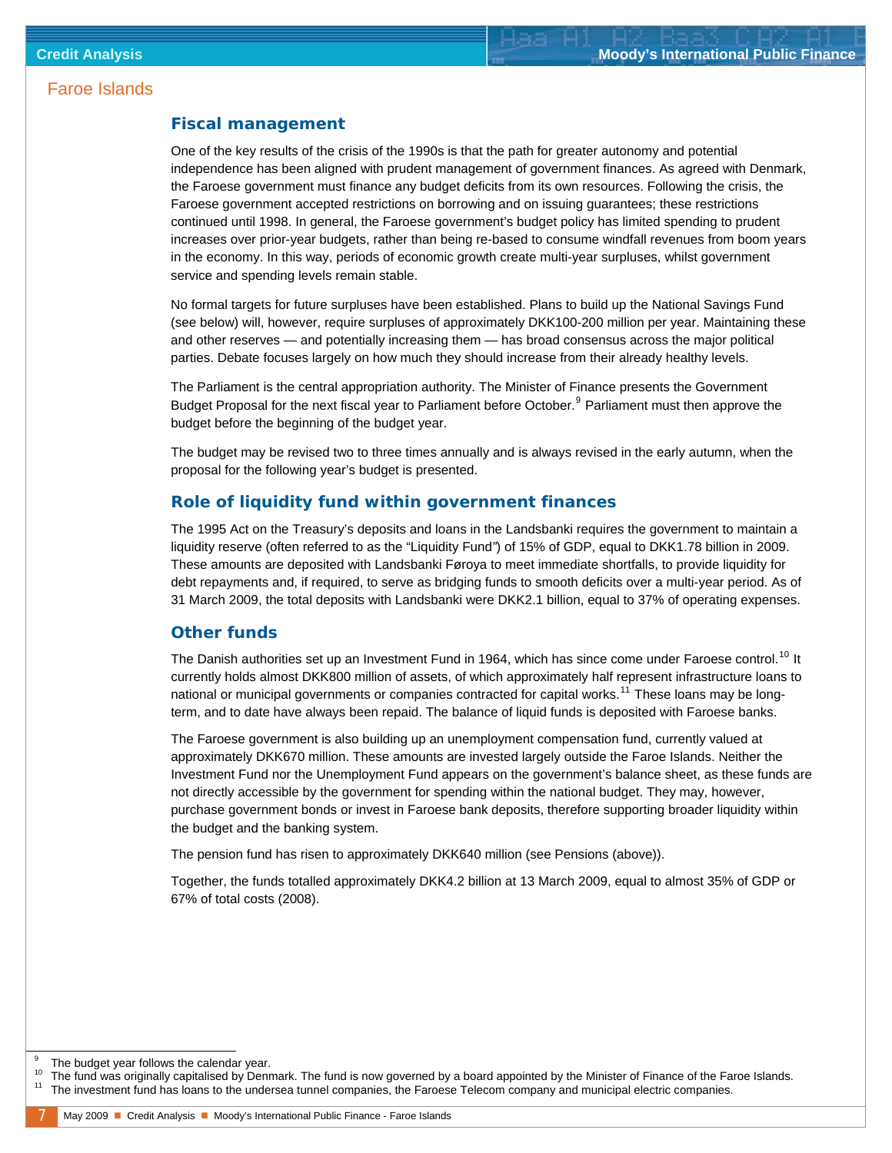#### <span id="page-6-0"></span>**Fiscal management**

One of the key results of the crisis of the 1990s is that the path for greater autonomy and potential independence has been aligned with prudent management of government finances. As agreed with Denmark, the Faroese government must finance any budget deficits from its own resources. Following the crisis, the Faroese government accepted restrictions on borrowing and on issuing guarantees; these restrictions continued until 1998. In general, the Faroese government's budget policy has limited spending to prudent increases over prior-year budgets, rather than being re-based to consume windfall revenues from boom years in the economy. In this way, periods of economic growth create multi-year surpluses, whilst government service and spending levels remain stable.

No formal targets for future surpluses have been established. Plans to build up the National Savings Fund (see below) will, however, require surpluses of approximately DKK100-200 million per year. Maintaining these and other reserves — and potentially increasing them — has broad consensus across the major political parties. Debate focuses largely on how much they should increase from their already healthy levels.

The Parliament is the central appropriation authority. The Minister of Finance presents the Government Budget Proposal for the next fiscal year to Parliament before October.<sup>[9](#page-6-0)</sup> Parliament must then approve the budget before the beginning of the budget year.

The budget may be revised two to three times annually and is always revised in the early autumn, when the proposal for the following year's budget is presented.

#### **Role of liquidity fund within government finances**

The 1995 Act on the Treasury's deposits and loans in the Landsbanki requires the government to maintain a liquidity reserve (often referred to as the "Liquidity Fund*"*) of 15% of GDP, equal to DKK1.78 billion in 2009. These amounts are deposited with Landsbanki Føroya to meet immediate shortfalls, to provide liquidity for debt repayments and, if required, to serve as bridging funds to smooth deficits over a multi-year period. As of 31 March 2009, the total deposits with Landsbanki were DKK2.1 billion, equal to 37% of operating expenses.

#### **Other funds**

The Danish authorities set up an Investment Fund in 1964, which has since come under Faroese control.<sup>[10](#page-6-0)</sup> It currently holds almost DKK800 million of assets, of which approximately half represent infrastructure loans to national or municipal governments or companies contracted for capital works.<sup>[11](#page-6-0)</sup> These loans may be longterm, and to date have always been repaid. The balance of liquid funds is deposited with Faroese banks.

The Faroese government is also building up an unemployment compensation fund, currently valued at approximately DKK670 million. These amounts are invested largely outside the Faroe Islands. Neither the Investment Fund nor the Unemployment Fund appears on the government's balance sheet, as these funds are not directly accessible by the government for spending within the national budget. They may, however, purchase government bonds or invest in Faroese bank deposits, therefore supporting broader liquidity within the budget and the banking system.

The pension fund has risen to approximately DKK640 million (see Pensions (above)).

Together, the funds totalled approximately DKK4.2 billion at 13 March 2009, equal to almost 35% of GDP or 67% of total costs (2008).

j

<sup>9</sup> The budget year follows the calendar year.

<sup>&</sup>lt;sup>10</sup> The fund was originally capitalised by Denmark. The fund is now governed by a board appointed by the Minister of Finance of the Faroe Islands.<br><sup>11</sup> The investment fund has loans to the undersea tunnel companies, the F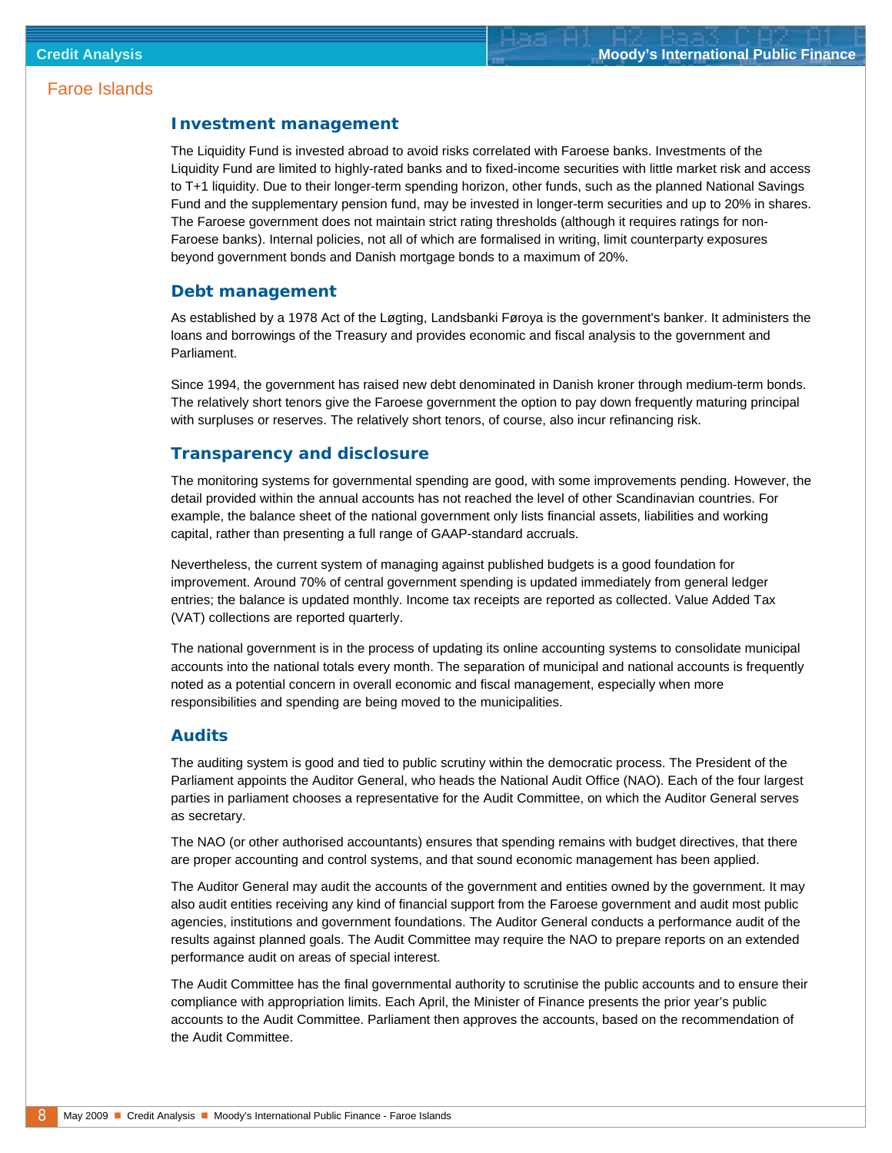#### **Investment management**

The Liquidity Fund is invested abroad to avoid risks correlated with Faroese banks. Investments of the Liquidity Fund are limited to highly-rated banks and to fixed-income securities with little market risk and access to T+1 liquidity. Due to their longer-term spending horizon, other funds, such as the planned National Savings Fund and the supplementary pension fund, may be invested in longer-term securities and up to 20% in shares. The Faroese government does not maintain strict rating thresholds (although it requires ratings for non-Faroese banks). Internal policies, not all of which are formalised in writing, limit counterparty exposures beyond government bonds and Danish mortgage bonds to a maximum of 20%.

#### **Debt management**

As established by a 1978 Act of the Løgting, Landsbanki Føroya is the government's banker. It administers the loans and borrowings of the Treasury and provides economic and fiscal analysis to the government and Parliament.

Since 1994, the government has raised new debt denominated in Danish kroner through medium-term bonds. The relatively short tenors give the Faroese government the option to pay down frequently maturing principal with surpluses or reserves. The relatively short tenors, of course, also incur refinancing risk.

#### **Transparency and disclosure**

The monitoring systems for governmental spending are good, with some improvements pending. However, the detail provided within the annual accounts has not reached the level of other Scandinavian countries. For example, the balance sheet of the national government only lists financial assets, liabilities and working capital, rather than presenting a full range of GAAP-standard accruals.

Nevertheless, the current system of managing against published budgets is a good foundation for improvement. Around 70% of central government spending is updated immediately from general ledger entries; the balance is updated monthly. Income tax receipts are reported as collected. Value Added Tax (VAT) collections are reported quarterly.

The national government is in the process of updating its online accounting systems to consolidate municipal accounts into the national totals every month. The separation of municipal and national accounts is frequently noted as a potential concern in overall economic and fiscal management, especially when more responsibilities and spending are being moved to the municipalities.

#### **Audits**

The auditing system is good and tied to public scrutiny within the democratic process. The President of the Parliament appoints the Auditor General, who heads the National Audit Office (NAO). Each of the four largest parties in parliament chooses a representative for the Audit Committee, on which the Auditor General serves as secretary.

The NAO (or other authorised accountants) ensures that spending remains with budget directives, that there are proper accounting and control systems, and that sound economic management has been applied.

The Auditor General may audit the accounts of the government and entities owned by the government. It may also audit entities receiving any kind of financial support from the Faroese government and audit most public agencies, institutions and government foundations. The Auditor General conducts a performance audit of the results against planned goals. The Audit Committee may require the NAO to prepare reports on an extended performance audit on areas of special interest.

The Audit Committee has the final governmental authority to scrutinise the public accounts and to ensure their compliance with appropriation limits. Each April, the Minister of Finance presents the prior year's public accounts to the Audit Committee. Parliament then approves the accounts, based on the recommendation of the Audit Committee.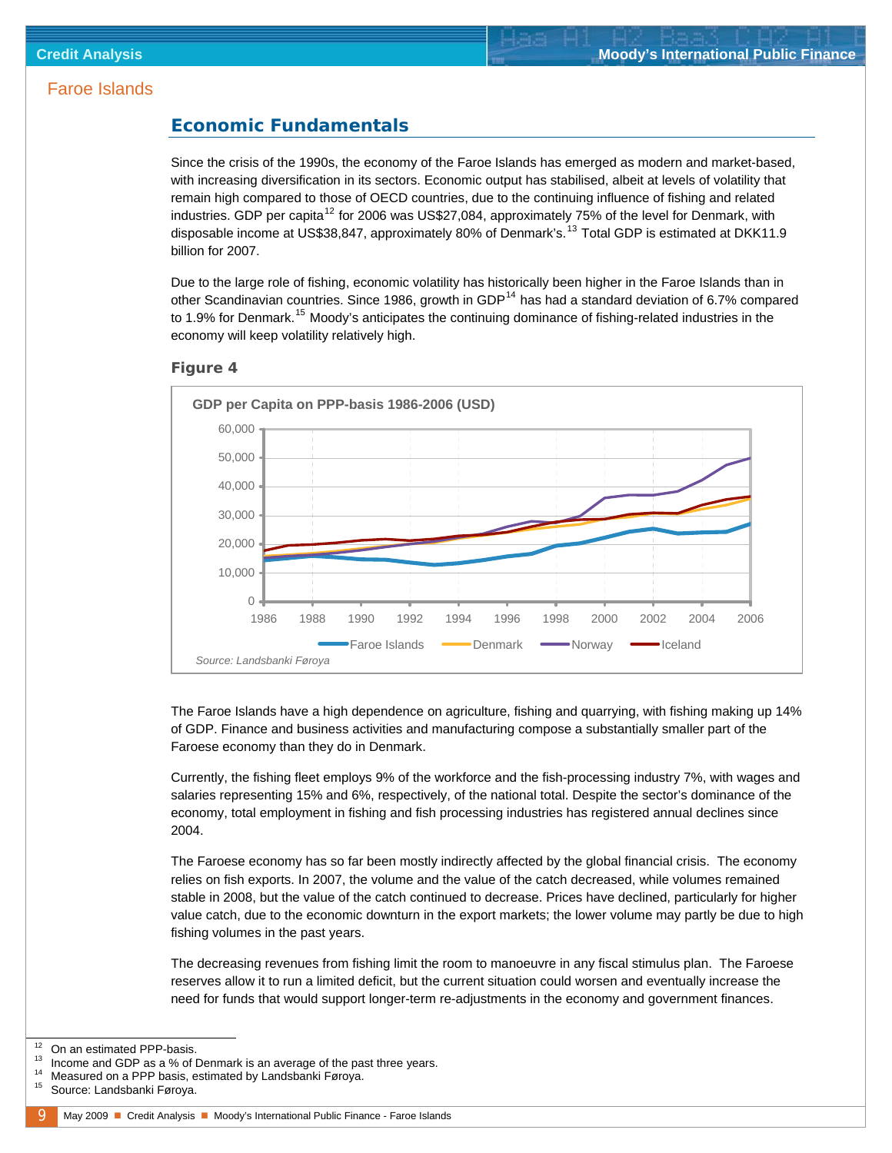#### <span id="page-8-0"></span>**Economic Fundamentals**

Since the crisis of the 1990s, the economy of the Faroe Islands has emerged as modern and market-based, with increasing diversification in its sectors. Economic output has stabilised, albeit at levels of volatility that remain high compared to those of OECD countries, due to the continuing influence of fishing and related industries. GDP per capita<sup>[12](#page-8-0)</sup> for 2006 was US\$27,084, approximately 75% of the level for Denmark, with disposable income at US\$38,847, approximately 80% of Denmark's.<sup>[13](#page-8-0)</sup> Total GDP is estimated at DKK11.9 billion for 2007.

Due to the large role of fishing, economic volatility has historically been higher in the Faroe Islands than in other Scandinavian countries. Since 1986, growth in GDP<sup>[14](#page-8-0)</sup> has had a standard deviation of 6.7% compared to 1.9% for Denmark.<sup>[15](#page-8-0)</sup> Moody's anticipates the continuing dominance of fishing-related industries in the economy will keep volatility relatively high.



#### *Figure 4*

The Faroe Islands have a high dependence on agriculture, fishing and quarrying, with fishing making up 14% of GDP. Finance and business activities and manufacturing compose a substantially smaller part of the Faroese economy than they do in Denmark.

Currently, the fishing fleet employs 9% of the workforce and the fish-processing industry 7%, with wages and salaries representing 15% and 6%, respectively, of the national total. Despite the sector's dominance of the economy, total employment in fishing and fish processing industries has registered annual declines since 2004.

The Faroese economy has so far been mostly indirectly affected by the global financial crisis. The economy relies on fish exports. In 2007, the volume and the value of the catch decreased, while volumes remained stable in 2008, but the value of the catch continued to decrease. Prices have declined, particularly for higher value catch, due to the economic downturn in the export markets; the lower volume may partly be due to high fishing volumes in the past years.

The decreasing revenues from fishing limit the room to manoeuvre in any fiscal stimulus plan. The Faroese reserves allow it to run a limited deficit, but the current situation could worsen and eventually increase the need for funds that would support longer-term re-adjustments in the economy and government finances.

<sup>12</sup> On an estimated PPP-basis.<br>
13 Income and GDP as a % of Denmark is an average of the past three years.<br>
14 Measured on a PPP basis, estimated by Landsbanki Føroya.<br>
15 Source: Landsbanki Føroya.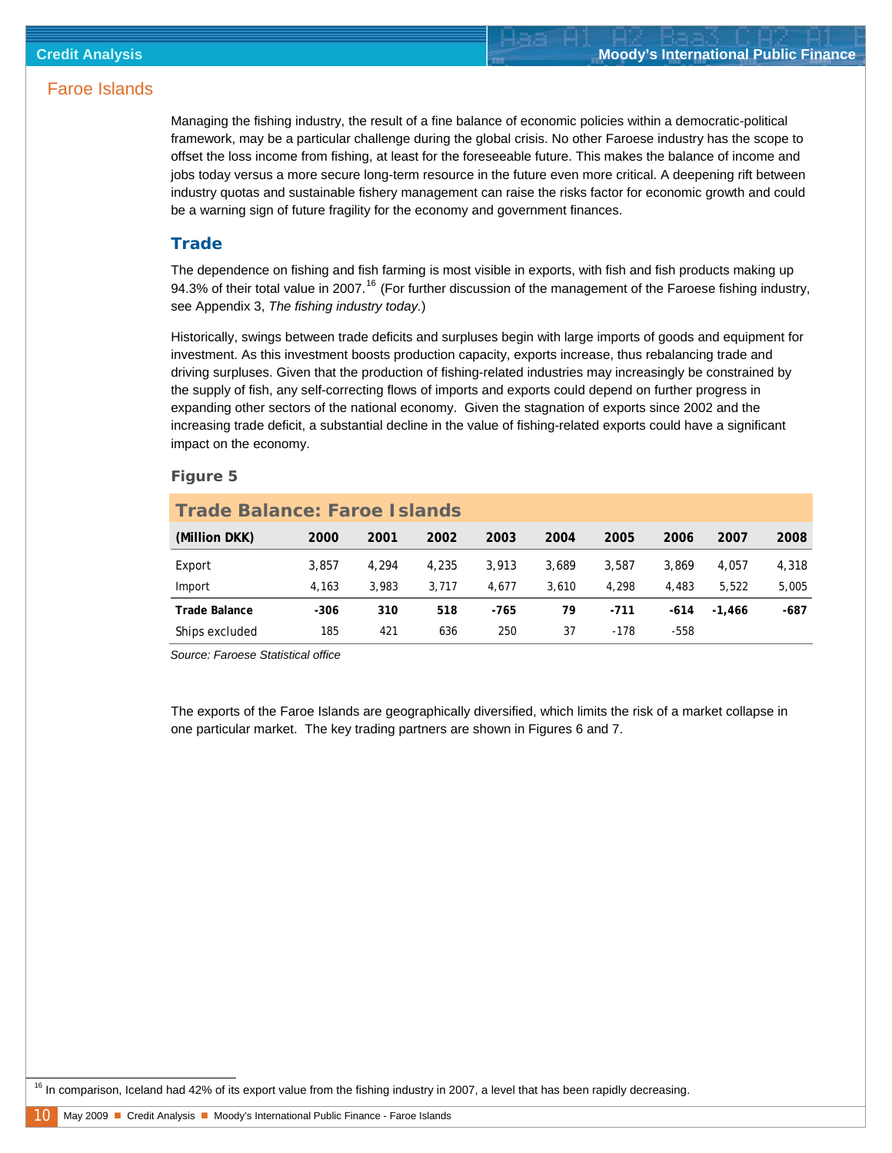<span id="page-9-0"></span>Managing the fishing industry, the result of a fine balance of economic policies within a democratic-political framework, may be a particular challenge during the global crisis. No other Faroese industry has the scope to offset the loss income from fishing, at least for the foreseeable future. This makes the balance of income and jobs today versus a more secure long-term resource in the future even more critical. A deepening rift between industry quotas and sustainable fishery management can raise the risks factor for economic growth and could be a warning sign of future fragility for the economy and government finances.

#### **Trade**

The dependence on fishing and fish farming is most visible in exports, with fish and fish products making up 94.3% of their total value in 2007.<sup>[16](#page-9-0)</sup> (For further discussion of the management of the Faroese fishing industry, see Appendix 3, *The fishing industry today.*)

Historically, swings between trade deficits and surpluses begin with large imports of goods and equipment for investment. As this investment boosts production capacity, exports increase, thus rebalancing trade and driving surpluses. Given that the production of fishing-related industries may increasingly be constrained by the supply of fish, any self-correcting flows of imports and exports could depend on further progress in expanding other sectors of the national economy. Given the stagnation of exports since 2002 and the increasing trade deficit, a substantial decline in the value of fishing-related exports could have a significant impact on the economy.

#### *Figure 5*

| <b>Trade Balance: Faroe Islands</b> |        |       |       |       |       |        |        |          |       |  |  |  |
|-------------------------------------|--------|-------|-------|-------|-------|--------|--------|----------|-------|--|--|--|
| (Million DKK)                       | 2000   | 2001  | 2002  | 2003  | 2004  | 2005   | 2006   | 2007     | 2008  |  |  |  |
| Export                              | 3.857  | 4.294 | 4.235 | 3.913 | 3,689 | 3.587  | 3.869  | 4.057    | 4,318 |  |  |  |
| Import                              | 4.163  | 3.983 | 3.717 | 4.677 | 3,610 | 4.298  | 4,483  | 5.522    | 5,005 |  |  |  |
| <b>Trade Balance</b>                | $-306$ | 310   | 518   | -765  | 79    | $-711$ | $-614$ | $-1.466$ | -687  |  |  |  |
| Ships excluded                      | 185    | 421   | 636   | 250   | 37    | $-178$ | $-558$ |          |       |  |  |  |

*Source: Faroese Statistical office* 

The exports of the Faroe Islands are geographically diversified, which limits the risk of a market collapse in one particular market. The key trading partners are shown in Figures 6 and 7.

<sup>16</sup> In comparison, Iceland had 42% of its export value from the fishing industry in 2007, a level that has been rapidly decreasing.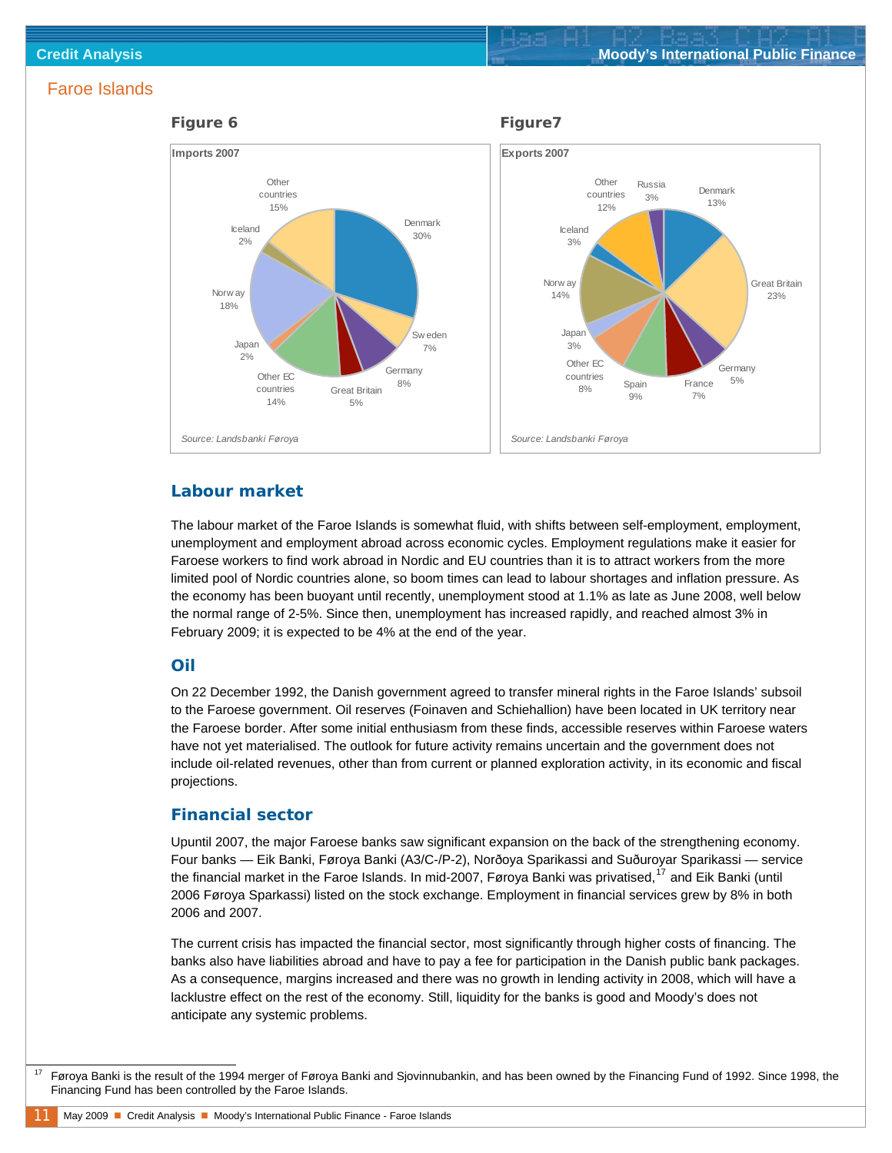<span id="page-10-0"></span>

#### **Labour market**

The labour market of the Faroe Islands is somewhat fluid, with shifts between self-employment, employment, unemployment and employment abroad across economic cycles. Employment regulations make it easier for Faroese workers to find work abroad in Nordic and EU countries than it is to attract workers from the more limited pool of Nordic countries alone, so boom times can lead to labour shortages and inflation pressure. As the economy has been buoyant until recently, unemployment stood at 1.1% as late as June 2008, well below the normal range of 2-5%. Since then, unemployment has increased rapidly, and reached almost 3% in February 2009; it is expected to be 4% at the end of the year.

#### **Oil**

On 22 December 1992, the Danish government agreed to transfer mineral rights in the Faroe Islands' subsoil to the Faroese government. Oil reserves (Foinaven and Schiehallion) have been located in UK territory near the Faroese border. After some initial enthusiasm from these finds, accessible reserves within Faroese waters have not yet materialised. The outlook for future activity remains uncertain and the government does not include oil-related revenues, other than from current or planned exploration activity, in its economic and fiscal projections.

#### **Financial sector**

Upuntil 2007, the major Faroese banks saw significant expansion on the back of the strengthening economy. Four banks — Eik Banki, Føroya Banki (A3/C-/P-2), Norðoya Sparikassi and Suðuroyar Sparikassi — service the financial market in the Faroe Islands. In mid-2007, Føroya Banki was privatised,<sup>[17](#page-10-0)</sup> and Eik Banki (until 2006 Føroya Sparkassi) listed on the stock exchange. Employment in financial services grew by 8% in both 2006 and 2007.

The current crisis has impacted the financial sector, most significantly through higher costs of financing. The banks also have liabilities abroad and have to pay a fee for participation in the Danish public bank packages. As a consequence, margins increased and there was no growth in lending activity in 2008, which will have a lacklustre effect on the rest of the economy. Still, liquidity for the banks is good and Moody's does not anticipate any systemic problems.

 <sup>17</sup> Føroya Banki is the result of the 1994 merger of Føroya Banki and Sjovinnubankin, and has been owned by the Financing Fund of 1992. Since 1998, the Financing Fund has been controlled by the Faroe Islands.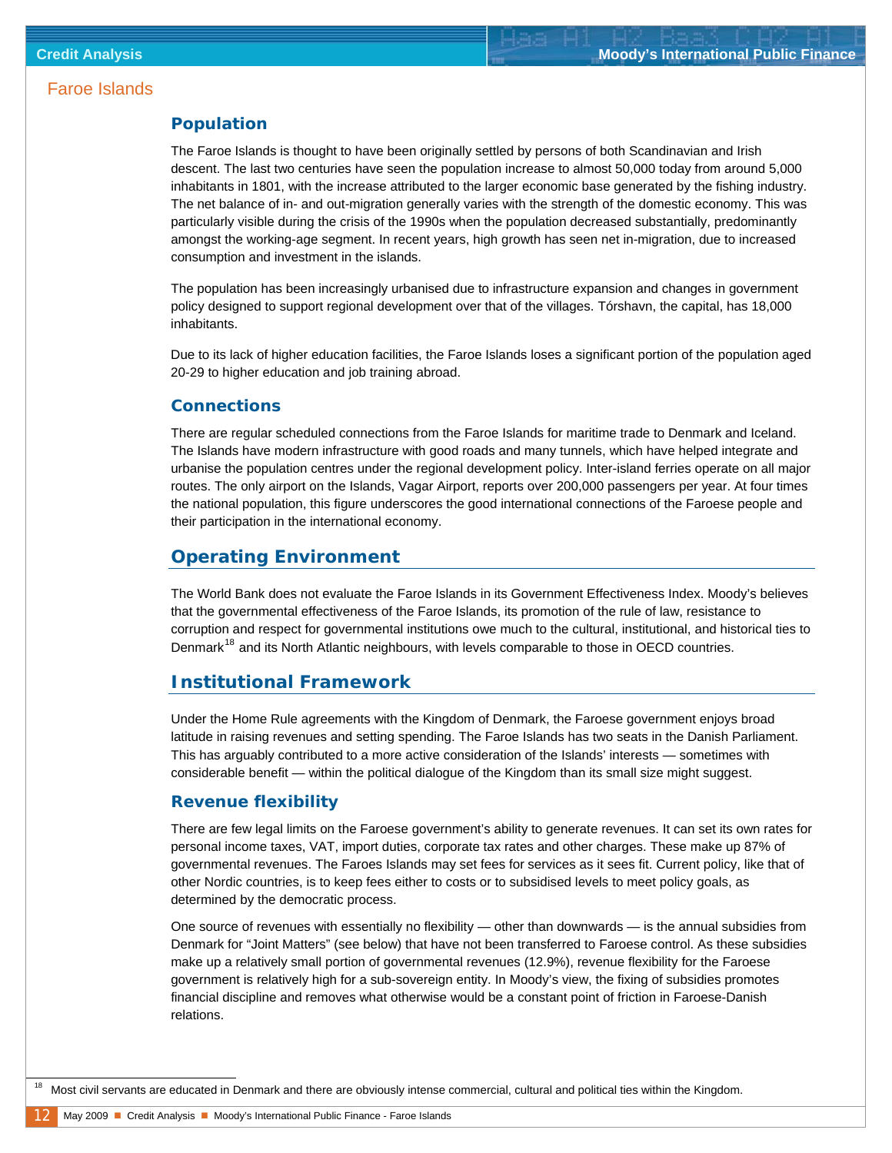#### <span id="page-11-0"></span>**Population**

The Faroe Islands is thought to have been originally settled by persons of both Scandinavian and Irish descent. The last two centuries have seen the population increase to almost 50,000 today from around 5,000 inhabitants in 1801, with the increase attributed to the larger economic base generated by the fishing industry. The net balance of in- and out-migration generally varies with the strength of the domestic economy. This was particularly visible during the crisis of the 1990s when the population decreased substantially, predominantly amongst the working-age segment. In recent years, high growth has seen net in-migration, due to increased consumption and investment in the islands.

The population has been increasingly urbanised due to infrastructure expansion and changes in government policy designed to support regional development over that of the villages. Tórshavn, the capital, has 18,000 inhabitants.

Due to its lack of higher education facilities, the Faroe Islands loses a significant portion of the population aged 20-29 to higher education and job training abroad.

#### **Connections**

There are regular scheduled connections from the Faroe Islands for maritime trade to Denmark and Iceland. The Islands have modern infrastructure with good roads and many tunnels, which have helped integrate and urbanise the population centres under the regional development policy. Inter-island ferries operate on all major routes. The only airport on the Islands, Vagar Airport, reports over 200,000 passengers per year. At four times the national population, this figure underscores the good international connections of the Faroese people and their participation in the international economy.

#### **Operating Environment**

The World Bank does not evaluate the Faroe Islands in its Government Effectiveness Index. Moody's believes that the governmental effectiveness of the Faroe Islands, its promotion of the rule of law, resistance to corruption and respect for governmental institutions owe much to the cultural, institutional, and historical ties to Denmark<sup>[18](#page-11-0)</sup> and its North Atlantic neighbours, with levels comparable to those in OECD countries.

#### **Institutional Framework**

Under the Home Rule agreements with the Kingdom of Denmark, the Faroese government enjoys broad latitude in raising revenues and setting spending. The Faroe Islands has two seats in the Danish Parliament. This has arguably contributed to a more active consideration of the Islands' interests — sometimes with considerable benefit — within the political dialogue of the Kingdom than its small size might suggest.

#### **Revenue flexibility**

There are few legal limits on the Faroese government's ability to generate revenues. It can set its own rates for personal income taxes, VAT, import duties, corporate tax rates and other charges. These make up 87% of governmental revenues. The Faroes Islands may set fees for services as it sees fit. Current policy, like that of other Nordic countries, is to keep fees either to costs or to subsidised levels to meet policy goals, as determined by the democratic process.

One source of revenues with essentially no flexibility — other than downwards — is the annual subsidies from Denmark for "Joint Matters" (see below) that have not been transferred to Faroese control. As these subsidies make up a relatively small portion of governmental revenues (12.9%), revenue flexibility for the Faroese government is relatively high for a sub-sovereign entity. In Moody's view, the fixing of subsidies promotes financial discipline and removes what otherwise would be a constant point of friction in Faroese-Danish relations.

<sup>18</sup> Most civil servants are educated in Denmark and there are obviously intense commercial, cultural and political ties within the Kingdom.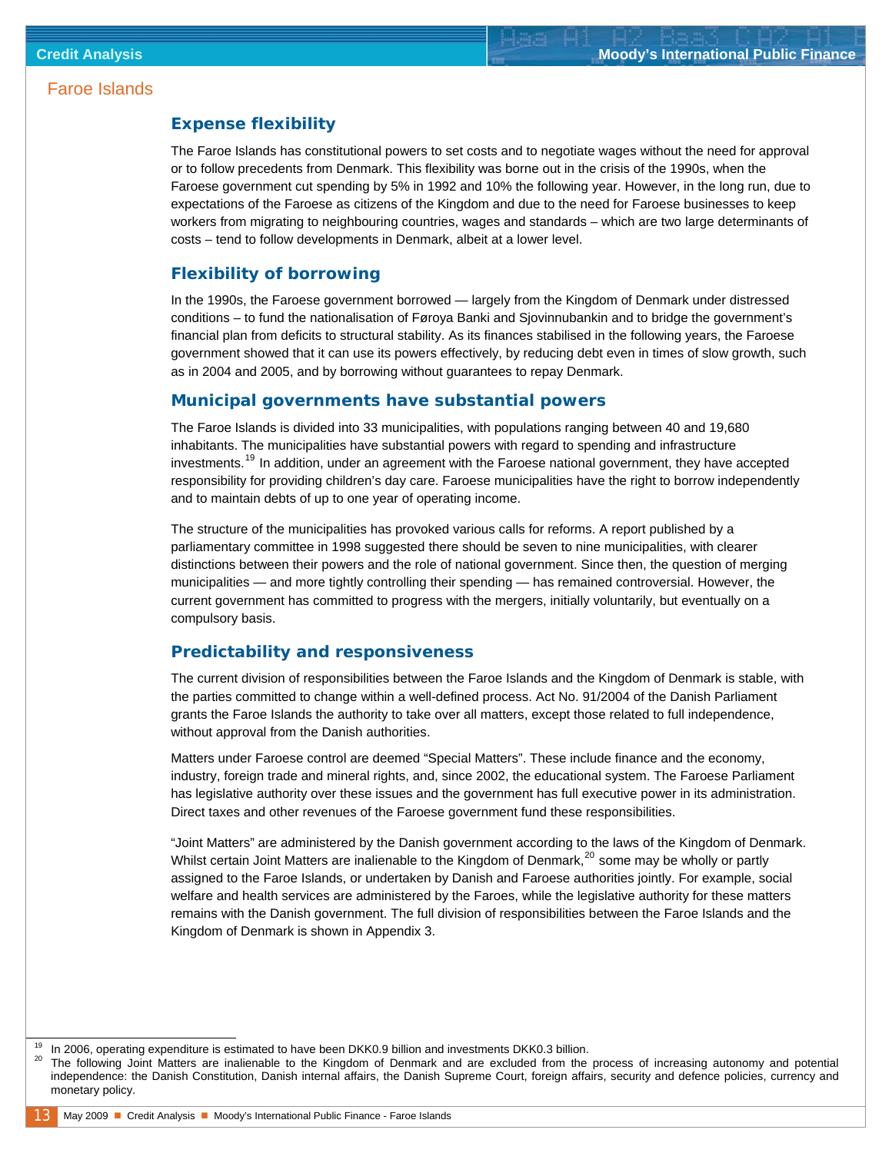#### <span id="page-12-0"></span>**Expense flexibility**

The Faroe Islands has constitutional powers to set costs and to negotiate wages without the need for approval or to follow precedents from Denmark. This flexibility was borne out in the crisis of the 1990s, when the Faroese government cut spending by 5% in 1992 and 10% the following year. However, in the long run, due to expectations of the Faroese as citizens of the Kingdom and due to the need for Faroese businesses to keep workers from migrating to neighbouring countries, wages and standards – which are two large determinants of costs – tend to follow developments in Denmark, albeit at a lower level.

#### **Flexibility of borrowing**

In the 1990s, the Faroese government borrowed — largely from the Kingdom of Denmark under distressed conditions – to fund the nationalisation of Føroya Banki and Sjovinnubankin and to bridge the government's financial plan from deficits to structural stability. As its finances stabilised in the following years, the Faroese government showed that it can use its powers effectively, by reducing debt even in times of slow growth, such as in 2004 and 2005, and by borrowing without guarantees to repay Denmark.

#### **Municipal governments have substantial powers**

The Faroe Islands is divided into 33 municipalities, with populations ranging between 40 and 19,680 inhabitants. The municipalities have substantial powers with regard to spending and infrastructure investments.<sup>[19](#page-12-0)</sup> In addition, under an agreement with the Faroese national government, they have accepted responsibility for providing children's day care. Faroese municipalities have the right to borrow independently and to maintain debts of up to one year of operating income.

The structure of the municipalities has provoked various calls for reforms. A report published by a parliamentary committee in 1998 suggested there should be seven to nine municipalities, with clearer distinctions between their powers and the role of national government. Since then, the question of merging municipalities — and more tightly controlling their spending — has remained controversial. However, the current government has committed to progress with the mergers, initially voluntarily, but eventually on a compulsory basis.

#### **Predictability and responsiveness**

The current division of responsibilities between the Faroe Islands and the Kingdom of Denmark is stable, with the parties committed to change within a well-defined process. Act No. 91/2004 of the Danish Parliament grants the Faroe Islands the authority to take over all matters, except those related to full independence, without approval from the Danish authorities.

Matters under Faroese control are deemed "Special Matters". These include finance and the economy, industry, foreign trade and mineral rights, and, since 2002, the educational system. The Faroese Parliament has legislative authority over these issues and the government has full executive power in its administration. Direct taxes and other revenues of the Faroese government fund these responsibilities.

"Joint Matters" are administered by the Danish government according to the laws of the Kingdom of Denmark. Whilst certain Joint Matters are inalienable to the Kingdom of Denmark,<sup>[20](#page-12-0)</sup> some may be wholly or partly assigned to the Faroe Islands, or undertaken by Danish and Faroese authorities jointly. For example, social welfare and health services are administered by the Faroes, while the legislative authority for these matters remains with the Danish government. The full division of responsibilities between the Faroe Islands and the Kingdom of Denmark is shown in Appendix 3.

l

In 2006, operating expenditure is estimated to have been DKK0.9 billion and investments DKK0.3 billion.<br>The following Joint Matters are inalienable to the Kingdom of Denmark and are excluded from the process of increasing independence: the Danish Constitution, Danish internal affairs, the Danish Supreme Court, foreign affairs, security and defence policies, currency and monetary policy.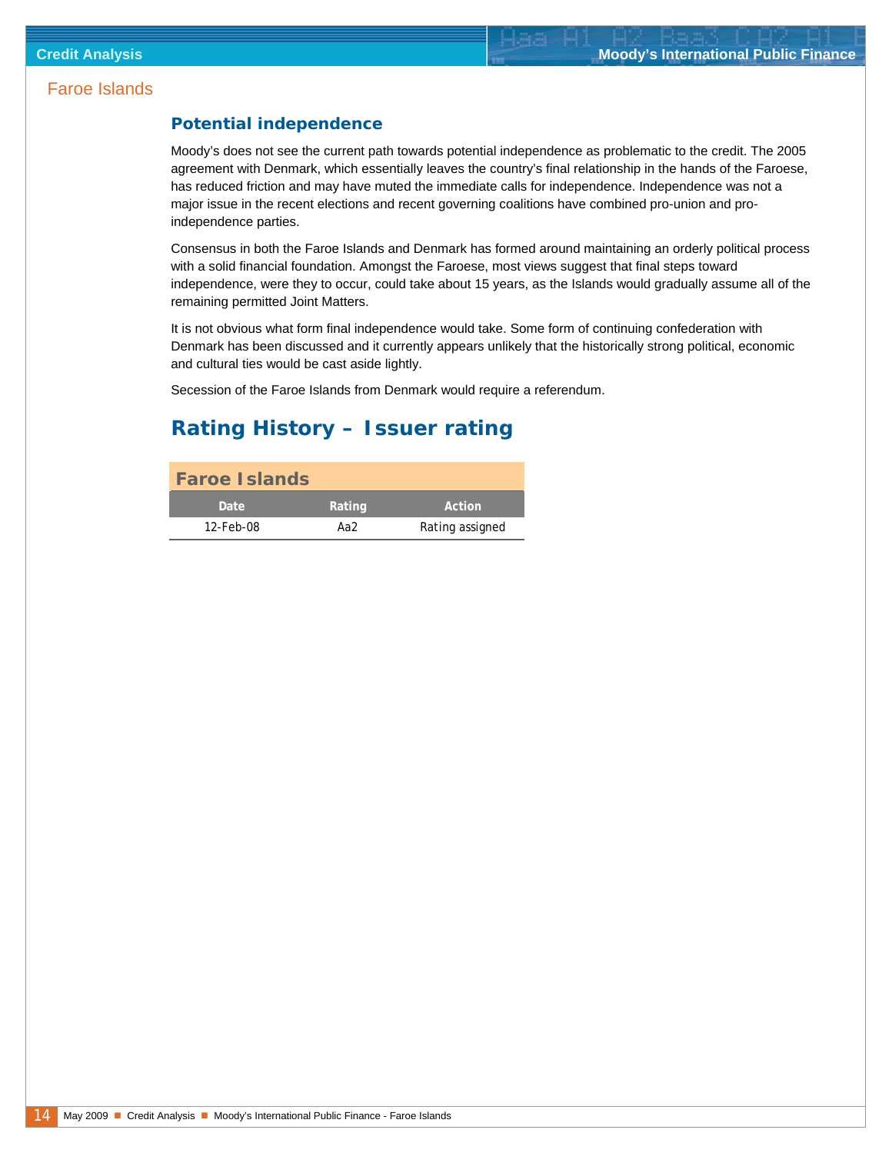#### <span id="page-13-0"></span>**Potential independence**

Moody's does not see the current path towards potential independence as problematic to the credit. The 2005 agreement with Denmark, which essentially leaves the country's final relationship in the hands of the Faroese, has reduced friction and may have muted the immediate calls for independence. Independence was not a major issue in the recent elections and recent governing coalitions have combined pro-union and proindependence parties.

Consensus in both the Faroe Islands and Denmark has formed around maintaining an orderly political process with a solid financial foundation. Amongst the Faroese, most views suggest that final steps toward independence, were they to occur, could take about 15 years, as the Islands would gradually assume all of the remaining permitted Joint Matters.

It is not obvious what form final independence would take. Some form of continuing confederation with Denmark has been discussed and it currently appears unlikely that the historically strong political, economic and cultural ties would be cast aside lightly.

Secession of the Faroe Islands from Denmark would require a referendum.

### **Rating History – Issuer rating**

| <b>Faroe Islands</b> |        |                 |
|----------------------|--------|-----------------|
| <b>Date</b>          | Rating | Action          |
| 12-Feb-08            | Aa2    | Rating assigned |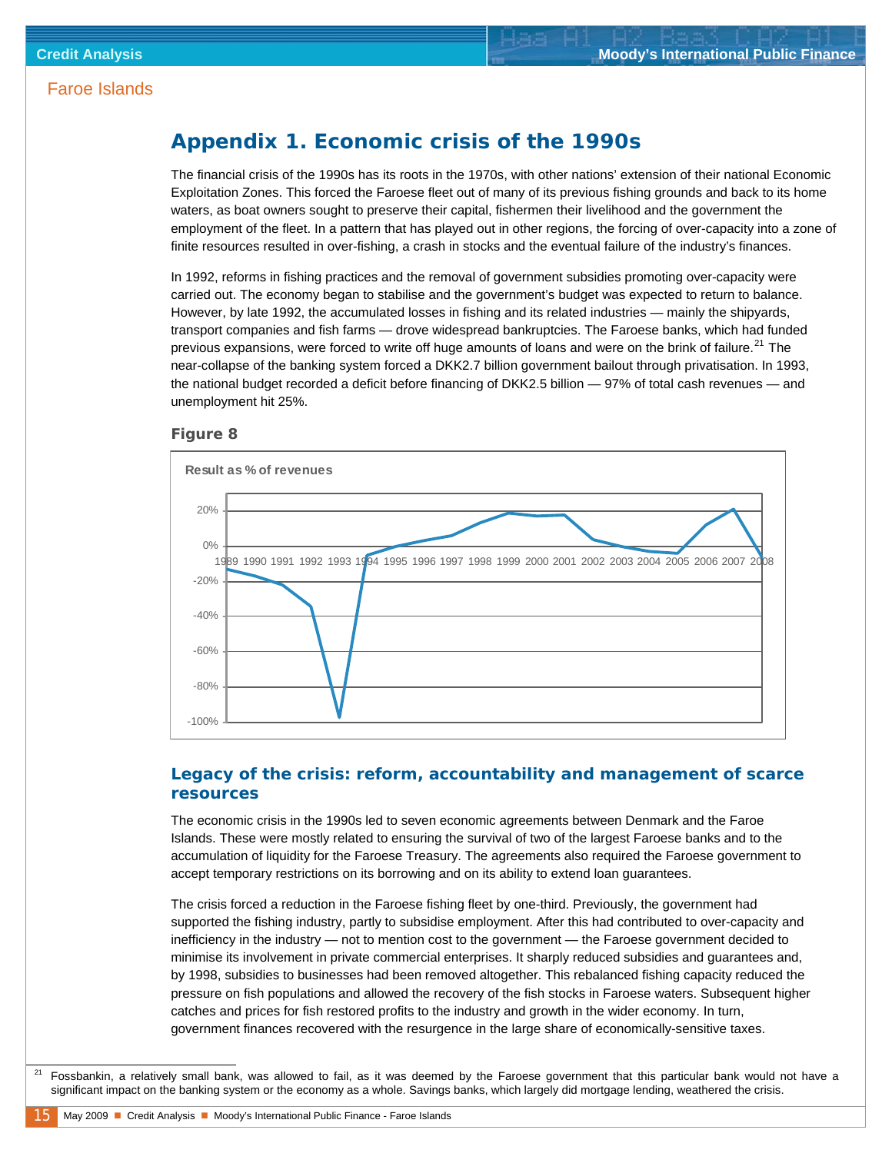### <span id="page-14-0"></span>**Appendix 1. Economic crisis of the 1990s**

The financial crisis of the 1990s has its roots in the 1970s, with other nations' extension of their national Economic Exploitation Zones. This forced the Faroese fleet out of many of its previous fishing grounds and back to its home waters, as boat owners sought to preserve their capital, fishermen their livelihood and the government the employment of the fleet. In a pattern that has played out in other regions, the forcing of over-capacity into a zone of finite resources resulted in over-fishing, a crash in stocks and the eventual failure of the industry's finances.

In 1992, reforms in fishing practices and the removal of government subsidies promoting over-capacity were carried out. The economy began to stabilise and the government's budget was expected to return to balance. However, by late 1992, the accumulated losses in fishing and its related industries — mainly the shipyards, transport companies and fish farms — drove widespread bankruptcies. The Faroese banks, which had funded previous expansions, were forced to write off huge amounts of loans and were on the brink of failure.<sup>[21](#page-14-0)</sup> The near-collapse of the banking system forced a DKK2.7 billion government bailout through privatisation. In 1993, the national budget recorded a deficit before financing of DKK2.5 billion — 97% of total cash revenues — and unemployment hit 25%.





#### **Legacy of the crisis: reform, accountability and management of scarce resources**

The economic crisis in the 1990s led to seven economic agreements between Denmark and the Faroe Islands. These were mostly related to ensuring the survival of two of the largest Faroese banks and to the accumulation of liquidity for the Faroese Treasury. The agreements also required the Faroese government to accept temporary restrictions on its borrowing and on its ability to extend loan guarantees.

The crisis forced a reduction in the Faroese fishing fleet by one-third. Previously, the government had supported the fishing industry, partly to subsidise employment. After this had contributed to over-capacity and inefficiency in the industry — not to mention cost to the government — the Faroese government decided to minimise its involvement in private commercial enterprises. It sharply reduced subsidies and guarantees and, by 1998, subsidies to businesses had been removed altogether. This rebalanced fishing capacity reduced the pressure on fish populations and allowed the recovery of the fish stocks in Faroese waters. Subsequent higher catches and prices for fish restored profits to the industry and growth in the wider economy. In turn, government finances recovered with the resurgence in the large share of economically-sensitive taxes.

 <sup>21</sup> Fossbankin, a relatively small bank, was allowed to fail, as it was deemed by the Faroese government that this particular bank would not have a significant impact on the banking system or the economy as a whole. Savings banks, which largely did mortgage lending, weathered the crisis.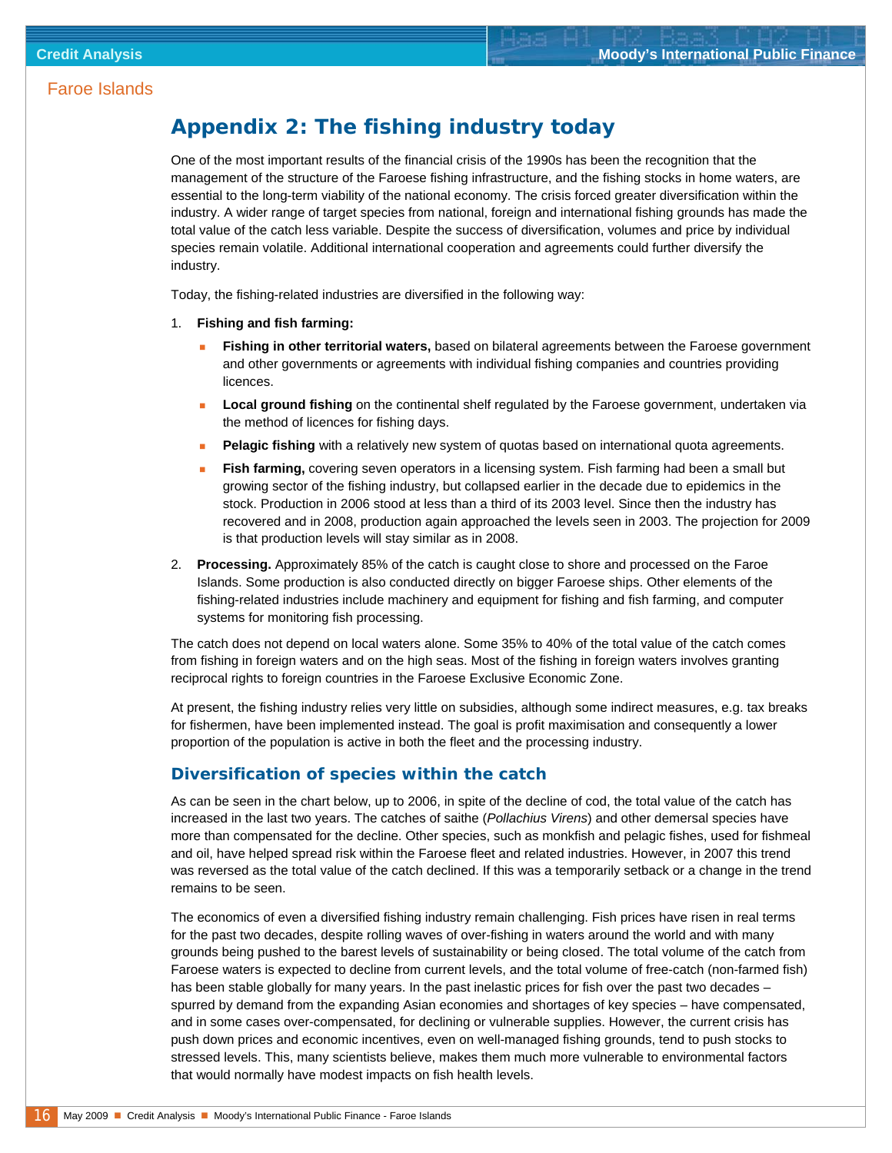### <span id="page-15-0"></span>**Appendix 2: The fishing industry today**

One of the most important results of the financial crisis of the 1990s has been the recognition that the management of the structure of the Faroese fishing infrastructure, and the fishing stocks in home waters, are essential to the long-term viability of the national economy. The crisis forced greater diversification within the industry. A wider range of target species from national, foreign and international fishing grounds has made the total value of the catch less variable. Despite the success of diversification, volumes and price by individual species remain volatile. Additional international cooperation and agreements could further diversify the industry.

Today, the fishing-related industries are diversified in the following way:

- 1. **Fishing and fish farming:**
	- **Fishing in other territorial waters,** based on bilateral agreements between the Faroese government and other governments or agreements with individual fishing companies and countries providing licences.
	- **Local ground fishing** on the continental shelf regulated by the Faroese government, undertaken via the method of licences for fishing days.
	- **Pelagic fishing** with a relatively new system of quotas based on international quota agreements.
	- **Fish farming,** covering seven operators in a licensing system. Fish farming had been a small but growing sector of the fishing industry, but collapsed earlier in the decade due to epidemics in the stock. Production in 2006 stood at less than a third of its 2003 level. Since then the industry has recovered and in 2008, production again approached the levels seen in 2003. The projection for 2009 is that production levels will stay similar as in 2008.
- 2. **Processing.** Approximately 85% of the catch is caught close to shore and processed on the Faroe Islands. Some production is also conducted directly on bigger Faroese ships. Other elements of the fishing-related industries include machinery and equipment for fishing and fish farming, and computer systems for monitoring fish processing.

The catch does not depend on local waters alone. Some 35% to 40% of the total value of the catch comes from fishing in foreign waters and on the high seas. Most of the fishing in foreign waters involves granting reciprocal rights to foreign countries in the Faroese Exclusive Economic Zone.

At present, the fishing industry relies very little on subsidies, although some indirect measures, e.g. tax breaks for fishermen, have been implemented instead. The goal is profit maximisation and consequently a lower proportion of the population is active in both the fleet and the processing industry.

#### **Diversification of species within the catch**

As can be seen in the chart below, up to 2006, in spite of the decline of cod, the total value of the catch has increased in the last two years. The catches of saithe (*Pollachius Virens*) and other demersal species have more than compensated for the decline. Other species, such as monkfish and pelagic fishes, used for fishmeal and oil, have helped spread risk within the Faroese fleet and related industries. However, in 2007 this trend was reversed as the total value of the catch declined. If this was a temporarily setback or a change in the trend remains to be seen.

The economics of even a diversified fishing industry remain challenging. Fish prices have risen in real terms for the past two decades, despite rolling waves of over-fishing in waters around the world and with many grounds being pushed to the barest levels of sustainability or being closed. The total volume of the catch from Faroese waters is expected to decline from current levels, and the total volume of free-catch (non-farmed fish) has been stable globally for many years. In the past inelastic prices for fish over the past two decades – spurred by demand from the expanding Asian economies and shortages of key species – have compensated, and in some cases over-compensated, for declining or vulnerable supplies. However, the current crisis has push down prices and economic incentives, even on well-managed fishing grounds, tend to push stocks to stressed levels. This, many scientists believe, makes them much more vulnerable to environmental factors that would normally have modest impacts on fish health levels.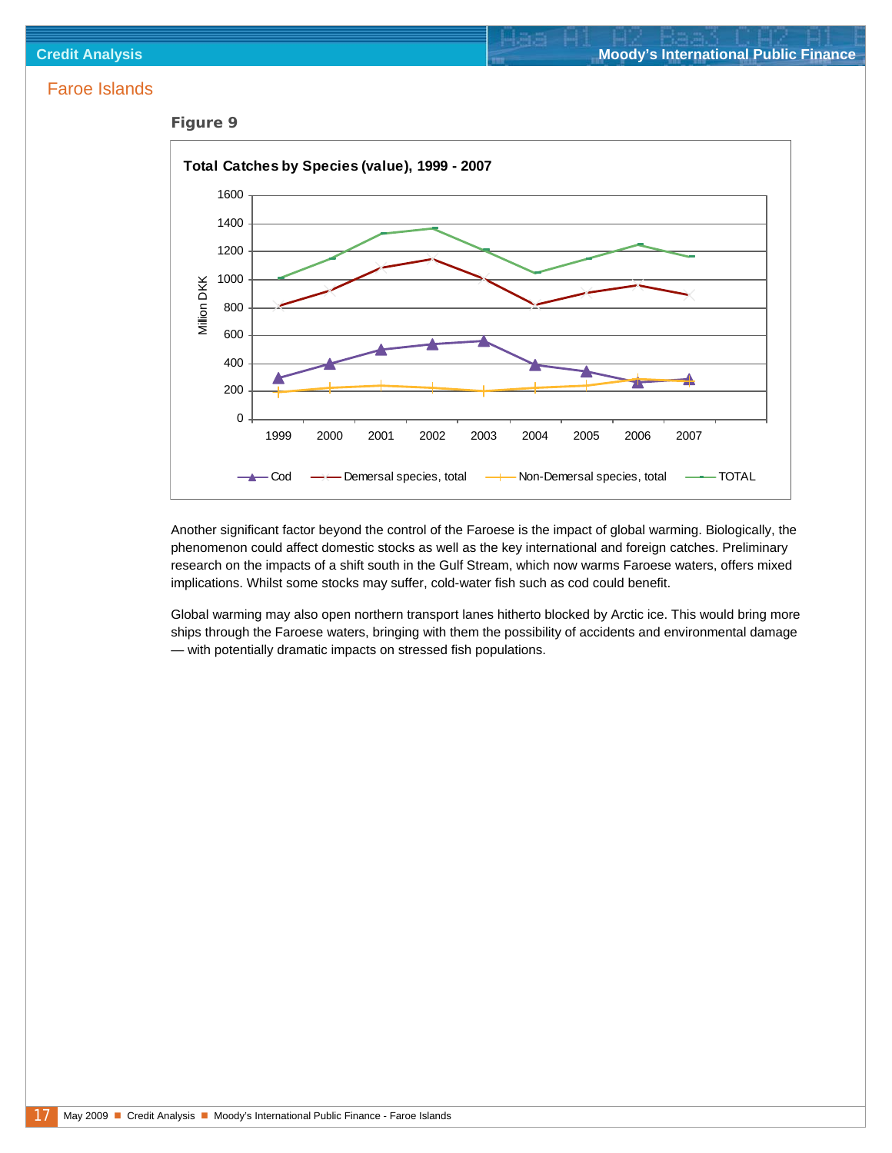



Another significant factor beyond the control of the Faroese is the impact of global warming. Biologically, the phenomenon could affect domestic stocks as well as the key international and foreign catches. Preliminary research on the impacts of a shift south in the Gulf Stream, which now warms Faroese waters, offers mixed implications. Whilst some stocks may suffer, cold-water fish such as cod could benefit.

Global warming may also open northern transport lanes hitherto blocked by Arctic ice. This would bring more ships through the Faroese waters, bringing with them the possibility of accidents and environmental damage — with potentially dramatic impacts on stressed fish populations.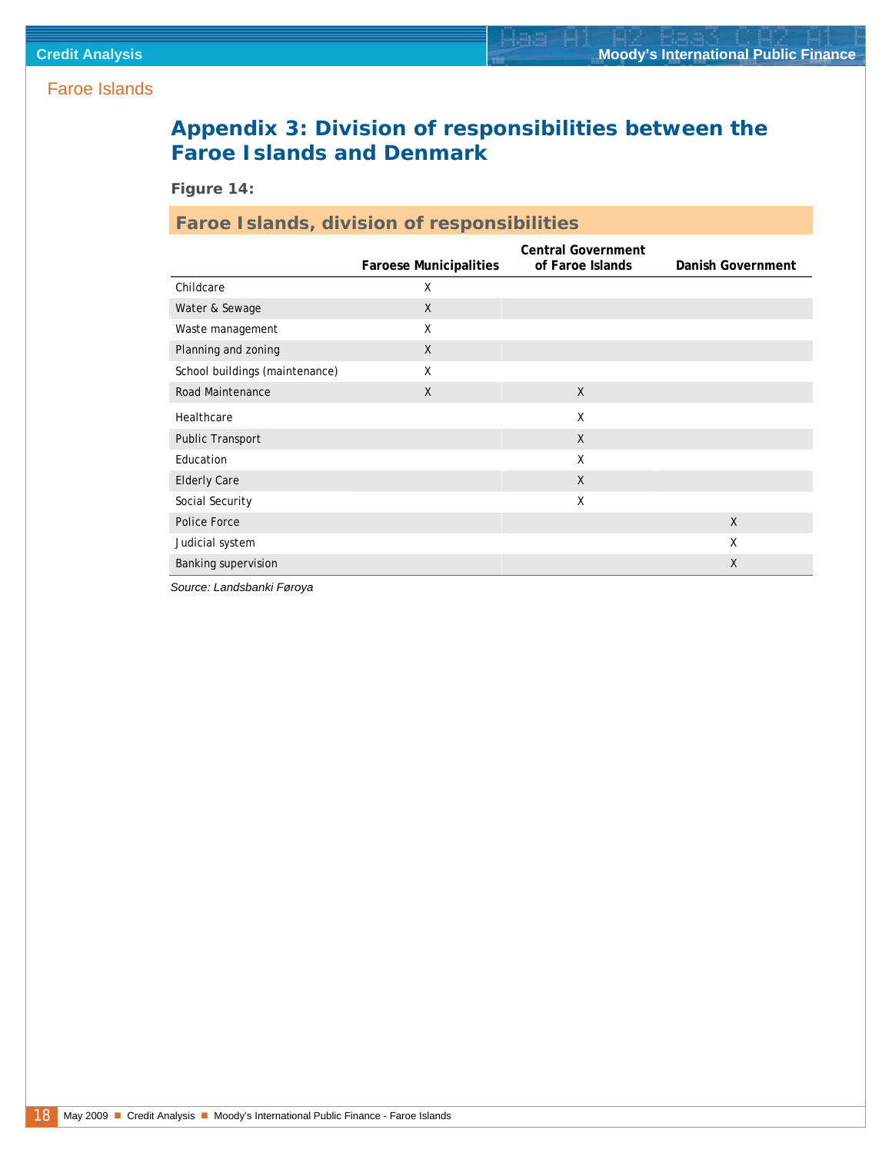### <span id="page-17-0"></span>**Appendix 3: Division of responsibilities between the Faroe Islands and Denmark**

*Figure 14:* 

### **Faroe Islands, division of responsibilities**

|                                | <b>Faroese Municipalities</b> | <b>Central Government</b><br>of Faroe Islands | Danish Government |
|--------------------------------|-------------------------------|-----------------------------------------------|-------------------|
| Childcare                      | X                             |                                               |                   |
| Water & Sewage                 | $\mathsf{X}$                  |                                               |                   |
| Waste management               | X                             |                                               |                   |
| Planning and zoning            | $\sf X$                       |                                               |                   |
| School buildings (maintenance) | Χ                             |                                               |                   |
| Road Maintenance               | $\sf X$                       | $\mathsf{X}$                                  |                   |
| Healthcare                     |                               | X                                             |                   |
| Public Transport               |                               | $\mathsf{X}$                                  |                   |
| Education                      |                               | X                                             |                   |
| <b>Elderly Care</b>            |                               | $\mathsf{X}$                                  |                   |
| Social Security                |                               | X                                             |                   |
| Police Force                   |                               |                                               | $\chi$            |
| Judicial system                |                               |                                               | X                 |
| Banking supervision            |                               |                                               | $\mathsf{X}$      |

*Source: Landsbanki Føroya*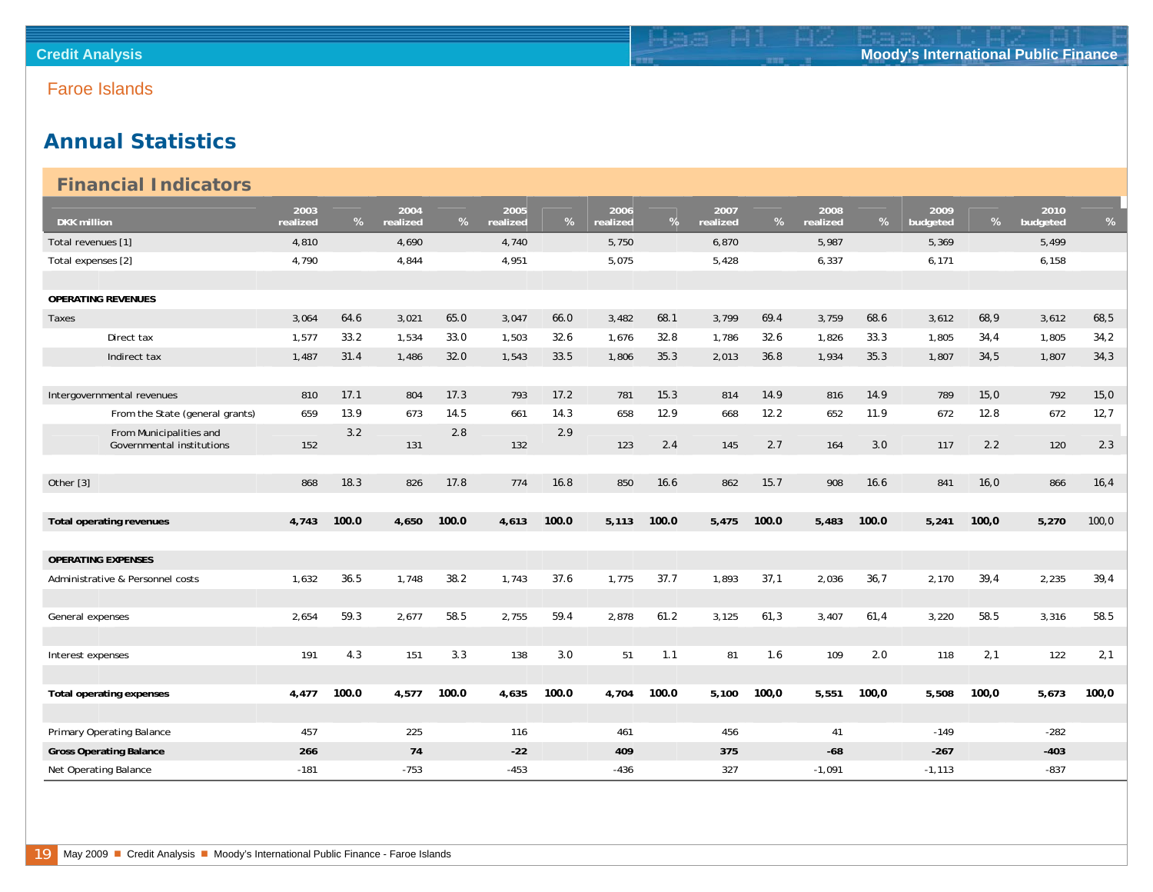### **Annual Statistics**

<span id="page-18-0"></span>

|                    | <b>Financial Indicators</b>                          |                  |       |                  |       |                  |       |                  |       |                  |       |                  |       |                  |       |                  |       |
|--------------------|------------------------------------------------------|------------------|-------|------------------|-------|------------------|-------|------------------|-------|------------------|-------|------------------|-------|------------------|-------|------------------|-------|
| <b>DKK</b> million |                                                      | 2003<br>realized | %     | 2004<br>realized | %     | 2005<br>realized | %     | 2006<br>realized | $\%$  | 2007<br>realized | %     | 2008<br>realized | %     | 2009<br>budgeted | %     | 2010<br>budgeted | %     |
|                    | Total revenues [1]                                   | 4,810            |       | 4,690            |       | 4,740            |       | 5,750            |       | 6,870            |       | 5,987            |       | 5,369            |       | 5,499            |       |
| Total expenses [2] |                                                      | 4,790            |       | 4,844            |       | 4,951            |       | 5,075            |       | 5,428            |       | 6,337            |       | 6,171            |       | 6,158            |       |
|                    |                                                      |                  |       |                  |       |                  |       |                  |       |                  |       |                  |       |                  |       |                  |       |
|                    | <b>OPERATING REVENUES</b>                            |                  |       |                  |       |                  |       |                  |       |                  |       |                  |       |                  |       |                  |       |
| Taxes              |                                                      | 3,064            | 64.6  | 3,021            | 65.0  | 3,047            | 66.0  | 3,482            | 68.1  | 3.799            | 69.4  | 3,759            | 68.6  | 3,612            | 68,9  | 3,612            | 68,5  |
|                    | Direct tax                                           | 1,577            | 33.2  | 1,534            | 33.0  | 1,503            | 32.6  | 1,676            | 32.8  | 1,786            | 32.6  | 1,826            | 33.3  | 1,805            | 34,4  | 1,805            | 34,2  |
|                    | Indirect tax                                         | 1,487            | 31.4  | 1,486            | 32.0  | 1,543            | 33.5  | 1,806            | 35.3  | 2,013            | 36.8  | 1,934            | 35.3  | 1,807            | 34,5  | 1,807            | 34,3  |
|                    |                                                      |                  |       |                  |       |                  |       |                  |       |                  |       |                  |       |                  |       |                  |       |
|                    | Intergovernmental revenues                           | 810              | 17.1  | 804              | 17.3  | 793              | 17.2  | 781              | 15.3  | 814              | 14.9  | 816              | 14.9  | 789              | 15,0  | 792              | 15,0  |
|                    | From the State (general grants)                      | 659              | 13.9  | 673              | 14.5  | 661              | 14.3  | 658              | 12.9  | 668              | 12.2  | 652              | 11.9  | 672              | 12.8  | 672              | 12,7  |
|                    | From Municipalities and<br>Governmental institutions | 152              | 3.2   | 131              | 2.8   | 132              | 2.9   | 123              | 2.4   | 145              | 2.7   | 164              | 3.0   | 117              | 2.2   | 120              | 2.3   |
|                    |                                                      |                  |       |                  |       |                  |       |                  |       |                  |       |                  |       |                  |       |                  |       |
| Other [3]          |                                                      | 868              | 18.3  | 826              | 17.8  | 774              | 16.8  | 850              | 16.6  | 862              | 15.7  | 908              | 16.6  | 841              | 16,0  | 866              | 16, 4 |
|                    |                                                      |                  |       |                  |       |                  |       |                  |       |                  |       |                  |       |                  |       |                  |       |
|                    | Total operating revenues                             | 4,743            | 100.0 | 4,650            | 100.0 | 4,613            | 100.0 | 5,113            | 100.0 | 5,475            | 100.0 | 5,483            | 100.0 | 5,241            | 100,0 | 5,270            | 100,0 |
|                    |                                                      |                  |       |                  |       |                  |       |                  |       |                  |       |                  |       |                  |       |                  |       |
|                    | <b>OPERATING EXPENSES</b>                            |                  |       |                  |       |                  |       |                  |       |                  |       |                  |       |                  |       |                  |       |
|                    | Administrative & Personnel costs                     | 1,632            | 36.5  | 1,748            | 38.2  | 1,743            | 37.6  | 1,775            | 37.7  | 1,893            | 37,1  | 2,036            | 36,7  | 2,170            | 39,4  | 2,235            | 39,4  |
|                    |                                                      |                  |       |                  |       |                  |       |                  |       |                  |       |                  |       |                  |       |                  |       |
| General expenses   |                                                      | 2,654            | 59.3  | 2,677            | 58.5  | 2,755            | 59.4  | 2,878            | 61.2  | 3,125            | 61,3  | 3,407            | 61,4  | 3,220            | 58.5  | 3,316            | 58.5  |
|                    |                                                      |                  |       |                  |       |                  |       |                  |       |                  |       |                  |       |                  |       |                  |       |
| Interest expenses  |                                                      | 191              | 4.3   | 151              | 3.3   | 138              | 3.0   | 51               | 1.1   | 81               | 1.6   | 109              | 2.0   | 118              | 2,1   | 122              | 2,1   |
|                    |                                                      |                  |       |                  |       |                  |       |                  |       |                  |       |                  |       |                  |       |                  |       |
|                    | Total operating expenses                             | 4,477            | 100.0 | 4,577            | 100.0 | 4,635            | 100.0 | 4,704            | 100.0 | 5,100            | 100,0 | 5,551            | 100,0 | 5,508            | 100,0 | 5,673            | 100,0 |
|                    |                                                      |                  |       |                  |       |                  |       |                  |       |                  |       |                  |       |                  |       |                  |       |
|                    | Primary Operating Balance                            | 457              |       | 225              |       | 116              |       | 461              |       | 456              |       | 41               |       | $-149$           |       | $-282$           |       |
|                    | <b>Gross Operating Balance</b>                       | 266              |       | 74               |       | $-22$            |       | 409              |       | 375              |       | $-68$            |       | $-267$           |       | $-403$           |       |
|                    | Net Operating Balance                                | $-181$           |       | $-753$           |       | $-453$           |       | $-436$           |       | 327              |       | $-1,091$         |       | $-1,113$         |       | $-837$           |       |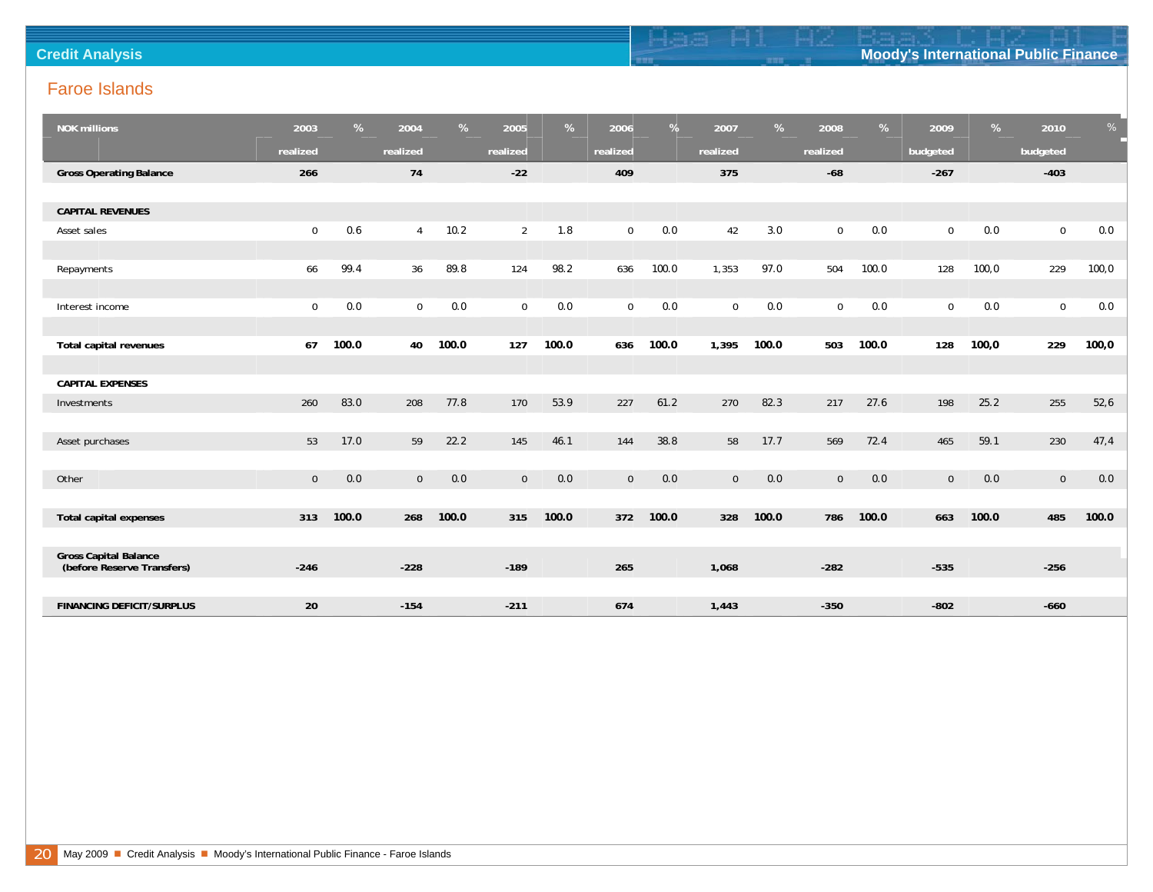| <b>Credit Ar</b> | <b>Moody's International Public Finance</b> |
|------------------|---------------------------------------------|

| <b>NOK millions</b>                                        | 2003           | %     | 2004           | %     | 2005           | %     | 2006        | %     | 2007           | %     | 2008        | %     | 2009           | %     | 2010         | %      |
|------------------------------------------------------------|----------------|-------|----------------|-------|----------------|-------|-------------|-------|----------------|-------|-------------|-------|----------------|-------|--------------|--------|
|                                                            | realized       |       | realized       |       | realized       |       | realized    |       | realized       |       | realized    |       | budgeted       |       | budgeted     |        |
| <b>Gross Operating Balance</b>                             | 266            |       | 74             |       | $-22$          |       | 409         |       | 375            |       | $-68$       |       | $-267$         |       | $-403$       |        |
|                                                            |                |       |                |       |                |       |             |       |                |       |             |       |                |       |              |        |
| <b>CAPITAL REVENUES</b>                                    |                |       |                |       |                |       |             |       |                |       |             |       |                |       |              |        |
| Asset sales                                                | $\mathbf 0$    | 0.6   | $\overline{4}$ | 10.2  | $\overline{2}$ | 1.8   | $\mathbf 0$ | 0.0   | 42             | 3.0   | $\mathbf 0$ | 0.0   | $\mathbf 0$    | 0.0   | $\mathbf 0$  | 0.0    |
|                                                            |                |       |                |       |                |       |             |       |                |       |             |       |                |       |              |        |
| Repayments                                                 | 66             | 99.4  | 36             | 89.8  | 124            | 98.2  | 636         | 100.0 | 1,353          | 97.0  | 504         | 100.0 | 128            | 100,0 | 229          | 100, 0 |
|                                                            |                |       |                |       |                |       |             |       |                |       |             |       |                |       |              |        |
| Interest income                                            | $\mathbf 0$    | 0.0   | $\mathbf 0$    | 0.0   | $\mathbf 0$    | 0.0   | $\mathbf 0$ | 0.0   | $\mathbf 0$    | 0.0   | $\mathbf 0$ | 0.0   | $\mathbf 0$    | 0.0   | $\mathbf 0$  | 0.0    |
|                                                            |                |       |                |       |                |       |             |       |                |       |             |       |                |       |              |        |
| Total capital revenues                                     | 67             | 100.0 | 40             | 100.0 | 127            | 100.0 | 636         | 100.0 | 1,395          | 100.0 | 503         | 100.0 | 128            | 100,0 | 229          | 100,0  |
|                                                            |                |       |                |       |                |       |             |       |                |       |             |       |                |       |              |        |
| <b>CAPITAL EXPENSES</b>                                    |                |       |                |       |                |       |             |       |                |       |             |       |                |       |              |        |
| Investments                                                | 260            | 83.0  | 208            | 77.8  | 170            | 53.9  | 227         | 61.2  | 270            | 82.3  | 217         | 27.6  | 198            | 25.2  | 255          | 52,6   |
|                                                            |                |       |                |       |                |       |             |       |                |       |             |       |                |       |              |        |
| Asset purchases                                            | 53             | 17.0  | 59             | 22.2  | 145            | 46.1  | 144         | 38.8  | 58             | 17.7  | 569         | 72.4  | 465            | 59.1  | 230          | 47,4   |
|                                                            |                |       |                |       |                |       |             |       |                |       |             |       |                |       |              |        |
| Other                                                      | $\overline{0}$ | 0.0   | $\mathbf 0$    | $0.0$ | $\mathbf 0$    | $0.0$ | $\mathbf 0$ | $0.0$ | $\overline{0}$ | 0.0   | $\mathbf 0$ | 0.0   | $\overline{0}$ | 0.0   | $\mathbf{0}$ | 0.0    |
|                                                            |                |       |                |       |                |       |             |       |                |       |             |       |                |       |              |        |
| <b>Total capital expenses</b>                              | 313            | 100.0 | 268            | 100.0 | 315            | 100.0 | 372         | 100.0 | 328            | 100.0 | 786         | 100.0 | 663            | 100.0 | 485          | 100.0  |
|                                                            |                |       |                |       |                |       |             |       |                |       |             |       |                |       |              |        |
| <b>Gross Capital Balance</b><br>(before Reserve Transfers) | $-246$         |       | $-228$         |       | $-189$         |       | 265         |       | 1,068          |       | $-282$      |       | $-535$         |       | $-256$       |        |
|                                                            |                |       |                |       |                |       |             |       |                |       |             |       |                |       |              |        |
| <b>FINANCING DEFICIT/SURPLUS</b>                           | 20             |       | $-154$         |       | $-211$         |       | 674         |       | 1,443          |       | $-350$      |       | $-802$         |       | $-660$       |        |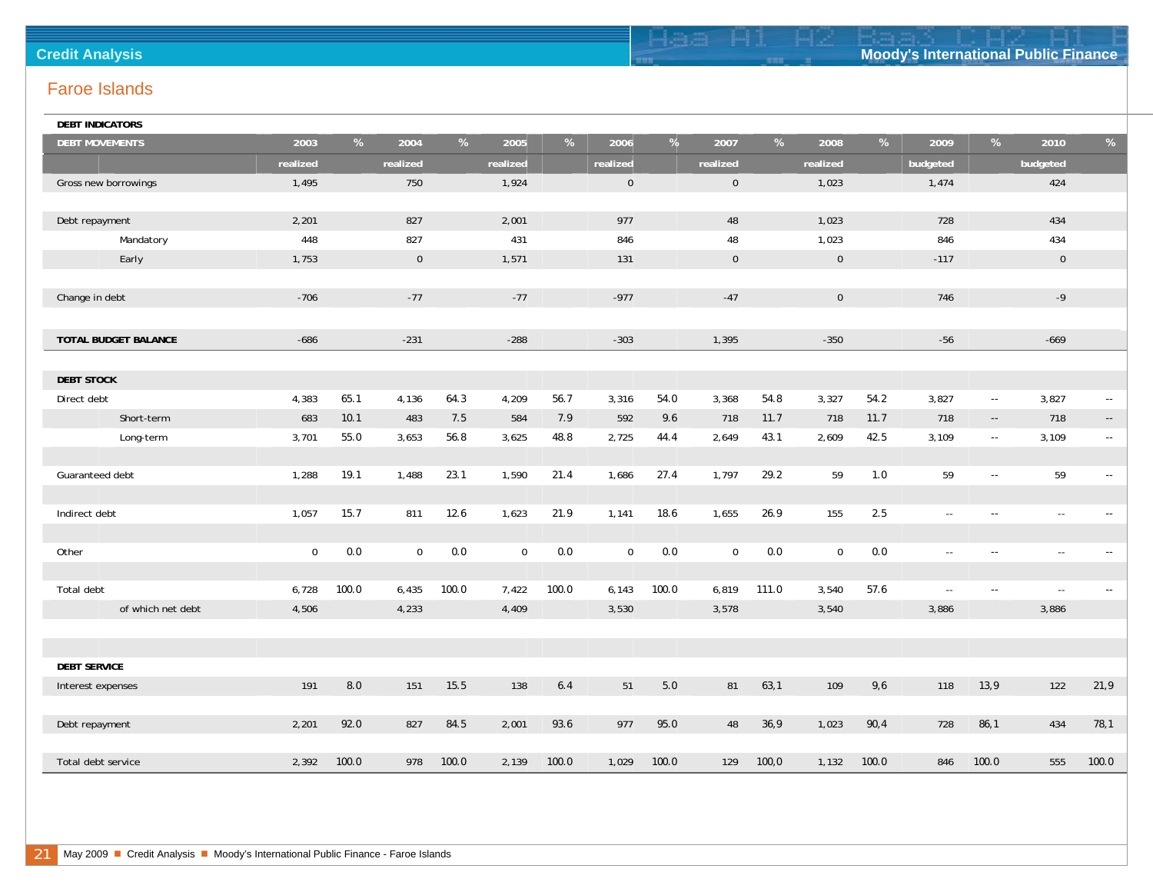| <b>Credit Analysis</b> |  | <b>Moody's International Public Finance</b> |
|------------------------|--|---------------------------------------------|

| <b>DEBT INDICATORS</b> |             |       |             |       |             |         |             |         |                |       |                |       |                |                                                                  |             |                                               |
|------------------------|-------------|-------|-------------|-------|-------------|---------|-------------|---------|----------------|-------|----------------|-------|----------------|------------------------------------------------------------------|-------------|-----------------------------------------------|
| <b>DEBT MOVEMENTS</b>  | 2003        | %     | 2004        | %     | 2005        | %       | 2006        | %       | 2007           | %     | 2008           | %     | 2009           | $% \mathcal{H}_{\mathrm{c}}\rightarrow \mathcal{H}_{\mathrm{c}}$ | 2010        | $\%$                                          |
|                        | realized    |       | realized    |       | realized    |         | realized    |         | realized       |       | realized       |       | budgeted       |                                                                  | budgeted    |                                               |
| Gross new borrowings   | 1,495       |       | 750         |       | 1,924       |         | $\mathbf 0$ |         | $\overline{0}$ |       | 1,023          |       | 1,474          |                                                                  | 424         |                                               |
|                        |             |       |             |       |             |         |             |         |                |       |                |       |                |                                                                  |             |                                               |
| Debt repayment         | 2,201       |       | 827         |       | 2,001       |         | 977         |         | 48             |       | 1,023          |       | 728            |                                                                  | 434         |                                               |
| Mandatory              | 448         |       | 827         |       | 431         |         | 846         |         | 48             |       | 1,023          |       | 846            |                                                                  | 434         |                                               |
| Early                  | 1,753       |       | $\mathbf 0$ |       | 1,571       |         | 131         |         | $\mathbf 0$    |       | $\overline{0}$ |       | $-117$         |                                                                  | $\mathbf 0$ |                                               |
|                        |             |       |             |       |             |         |             |         |                |       |                |       |                |                                                                  |             |                                               |
| Change in debt         | $-706$      |       | $-77$       |       | $-77$       |         | $-977$      |         | $-47$          |       | $\mathbf{0}$   |       | 746            |                                                                  | $-9$        |                                               |
|                        |             |       |             |       |             |         |             |         |                |       |                |       |                |                                                                  |             |                                               |
| TOTAL BUDGET BALANCE   | $-686$      |       | $-231$      |       | $-288$      |         | $-303$      |         | 1,395          |       | $-350$         |       | $-56$          |                                                                  | $-669$      |                                               |
|                        |             |       |             |       |             |         |             |         |                |       |                |       |                |                                                                  |             |                                               |
| <b>DEBT STOCK</b>      |             |       |             |       |             |         |             |         |                |       |                |       |                |                                                                  |             |                                               |
| Direct debt            | 4,383       | 65.1  | 4,136       | 64.3  | 4,209       | 56.7    | 3,316       | 54.0    | 3,368          | 54.8  | 3,327          | 54.2  | 3,827          | $\sim$ $\sim$                                                    | 3,827       | $\sim$                                        |
| Short-term             | 683         | 10.1  | 483         | 7.5   | 584         | 7.9     | 592         | 9.6     | 718            | 11.7  | 718            | 11.7  | 718            | $\sim$ $\sim$                                                    | 718         | $\sim$                                        |
| Long-term              | 3,701       | 55.0  | 3,653       | 56.8  | 3,625       | 48.8    | 2,725       | 44.4    | 2,649          | 43.1  | 2,609          | 42.5  | 3,109          | $\sim$ $\sim$                                                    | 3,109       | $\sim$                                        |
|                        |             |       |             |       |             |         |             |         |                |       |                |       |                |                                                                  |             |                                               |
| Guaranteed debt        | 1,288       | 19.1  | 1,488       | 23.1  | 1,590       | 21.4    | 1,686       | 27.4    | 1,797          | 29.2  | 59             | 1.0   | 59             | $\sim$                                                           | 59          | $\overline{\phantom{a}}$                      |
|                        |             |       |             |       |             |         |             |         |                |       |                |       |                |                                                                  |             |                                               |
| Indirect debt          | 1,057       | 15.7  | 811         | 12.6  | 1,623       | 21.9    | 1,141       | 18.6    | 1,655          | 26.9  | 155            | 2.5   | $\sim$         | $\sim$ $\sim$                                                    | $\sim$      | $\mathord{\hspace{1pt}\text{--}\hspace{1pt}}$ |
|                        |             |       |             |       |             |         |             |         |                |       |                |       |                |                                                                  |             |                                               |
| Other                  | $\mathbf 0$ | 0.0   | $\mathbf 0$ | 0.0   | $\mathbf 0$ | $0.0\,$ | $\mathbf 0$ | $0.0\,$ | $\mathbf 0$    | 0.0   | $\mathbf 0$    | $0.0$ | $\overline{a}$ | $\sim$                                                           | $\sim$      | $\sim$                                        |
|                        |             |       |             |       |             |         |             |         |                |       |                |       |                |                                                                  |             |                                               |
| Total debt             | 6,728       | 100.0 | 6,435       | 100.0 | 7,422       | 100.0   | 6,143       | 100.0   | 6,819          | 111.0 | 3,540          | 57.6  | $\sim$         | $\sim$ $\sim$                                                    | $\sim$      | $\overline{\phantom{a}}$ .                    |
| of which net debt      | 4,506       |       | 4,233       |       | 4,409       |         | 3,530       |         | 3,578          |       | 3,540          |       | 3,886          |                                                                  | 3,886       |                                               |
|                        |             |       |             |       |             |         |             |         |                |       |                |       |                |                                                                  |             |                                               |
|                        |             |       |             |       |             |         |             |         |                |       |                |       |                |                                                                  |             |                                               |
| <b>DEBT SERVICE</b>    |             |       |             |       |             |         |             |         |                |       |                |       |                |                                                                  |             |                                               |
| Interest expenses      | 191         | 8.0   | 151         | 15.5  | 138         | 6.4     | 51          | 5.0     | 81             | 63,1  | 109            | 9,6   | 118            | 13, 9                                                            | 122         | 21,9                                          |
|                        |             |       |             |       |             |         |             |         |                |       |                |       |                |                                                                  |             |                                               |
| Debt repayment         | 2,201       | 92.0  | 827         | 84.5  | 2,001       | 93.6    | 977         | 95.0    | 48             | 36,9  | 1,023          | 90,4  | 728            | 86,1                                                             | 434         | 78,1                                          |
|                        |             |       |             |       |             |         |             |         |                |       |                |       |                |                                                                  |             |                                               |
| Total debt service     | 2,392       | 100.0 | 978         | 100.0 | 2,139       | 100.0   | 1,029       | 100.0   | 129            | 100,0 | 1,132          | 100.0 | 846            | 100.0                                                            | 555         | 100.0                                         |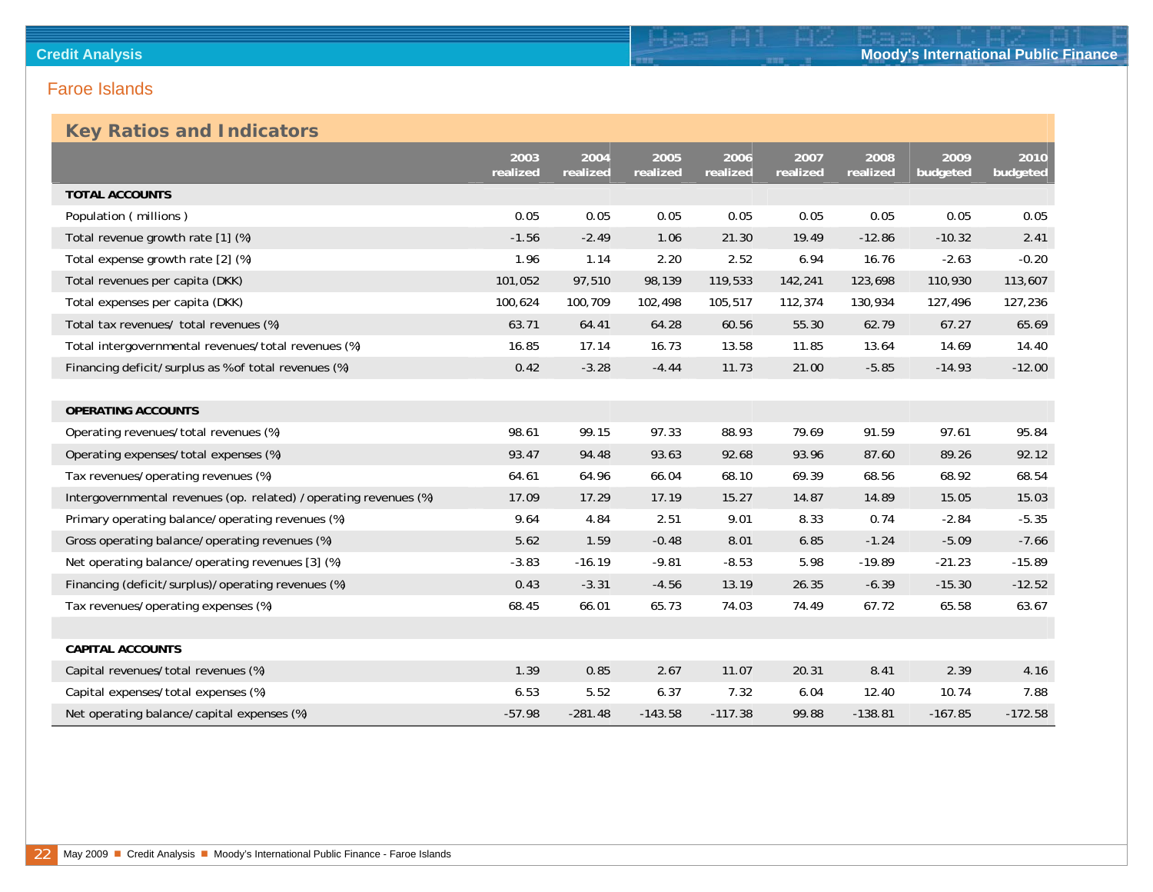## **Key Ratios and Indicators**

|                                                                  | 2003<br>realized | 2004<br>realized | 2005<br>realized | 2006<br>realized | 2007<br>realized | 2008<br>realized | 2009<br>budgeted | 2010<br>budgeted |
|------------------------------------------------------------------|------------------|------------------|------------------|------------------|------------------|------------------|------------------|------------------|
| <b>TOTAL ACCOUNTS</b>                                            |                  |                  |                  |                  |                  |                  |                  |                  |
| Population (millions)                                            | 0.05             | 0.05             | 0.05             | 0.05             | 0.05             | 0.05             | 0.05             | 0.05             |
| Total revenue growth rate [1] (%)                                | $-1.56$          | $-2.49$          | 1.06             | 21.30            | 19.49            | $-12.86$         | $-10.32$         | 2.41             |
| Total expense growth rate [2] (%)                                | 1.96             | 1.14             | 2.20             | 2.52             | 6.94             | 16.76            | $-2.63$          | $-0.20$          |
| Total revenues per capita (DKK)                                  | 101,052          | 97,510           | 98,139           | 119,533          | 142,241          | 123,698          | 110,930          | 113,607          |
| Total expenses per capita (DKK)                                  | 100,624          | 100,709          | 102,498          | 105,517          | 112,374          | 130,934          | 127,496          | 127,236          |
| Total tax revenues/ total revenues (%)                           | 63.71            | 64.41            | 64.28            | 60.56            | 55.30            | 62.79            | 67.27            | 65.69            |
| Total intergovernmental revenues/total revenues (%)              | 16.85            | 17.14            | 16.73            | 13.58            | 11.85            | 13.64            | 14.69            | 14.40            |
| Financing deficit/surplus as % of total revenues (%)             | 0.42             | $-3.28$          | $-4.44$          | 11.73            | 21.00            | $-5.85$          | $-14.93$         | $-12.00$         |
|                                                                  |                  |                  |                  |                  |                  |                  |                  |                  |
| <b>OPERATING ACCOUNTS</b>                                        |                  |                  |                  |                  |                  |                  |                  |                  |
| Operating revenues/total revenues (%)                            | 98.61            | 99.15            | 97.33            | 88.93            | 79.69            | 91.59            | 97.61            | 95.84            |
| Operating expenses/total expenses (%)                            | 93.47            | 94.48            | 93.63            | 92.68            | 93.96            | 87.60            | 89.26            | 92.12            |
| Tax revenues/operating revenues (%)                              | 64.61            | 64.96            | 66.04            | 68.10            | 69.39            | 68.56            | 68.92            | 68.54            |
| Intergovernmental revenues (op. related) /operating revenues (%) | 17.09            | 17.29            | 17.19            | 15.27            | 14.87            | 14.89            | 15.05            | 15.03            |
| Primary operating balance/operating revenues (%)                 | 9.64             | 4.84             | 2.51             | 9.01             | 8.33             | 0.74             | $-2.84$          | $-5.35$          |
| Gross operating balance/operating revenues (%)                   | 5.62             | 1.59             | $-0.48$          | 8.01             | 6.85             | $-1.24$          | $-5.09$          | $-7.66$          |
| Net operating balance/operating revenues [3] (%)                 | $-3.83$          | $-16.19$         | $-9.81$          | $-8.53$          | 5.98             | $-19.89$         | $-21.23$         | $-15.89$         |
| Financing (deficit/surplus)/operating revenues (%)               | 0.43             | $-3.31$          | $-4.56$          | 13.19            | 26.35            | $-6.39$          | $-15.30$         | $-12.52$         |
| Tax revenues/operating expenses (%)                              | 68.45            | 66.01            | 65.73            | 74.03            | 74.49            | 67.72            | 65.58            | 63.67            |
|                                                                  |                  |                  |                  |                  |                  |                  |                  |                  |
| <b>CAPITAL ACCOUNTS</b>                                          |                  |                  |                  |                  |                  |                  |                  |                  |
| Capital revenues/total revenues (%)                              | 1.39             | 0.85             | 2.67             | 11.07            | 20.31            | 8.41             | 2.39             | 4.16             |
| Capital expenses/total expenses (%)                              | 6.53             | 5.52             | 6.37             | 7.32             | 6.04             | 12.40            | 10.74            | 7.88             |
| Net operating balance/capital expenses (%)                       | $-57.98$         | $-281.48$        | $-143.58$        | $-117.38$        | 99.88            | $-138.81$        | $-167.85$        | $-172.58$        |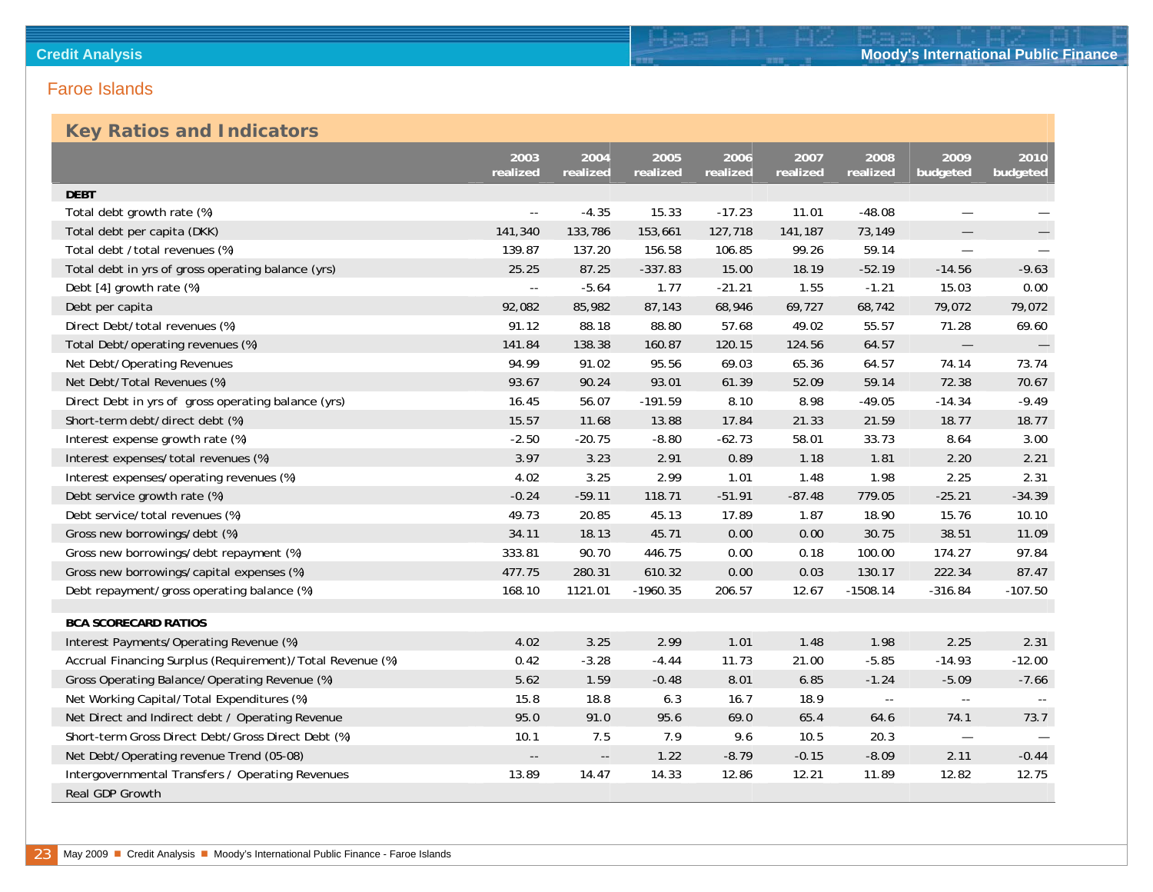### **Key Ratios and Indicators**

|                                                           | 2003<br>realized           | 2004<br>realized         | 2005<br>realized | 2006<br>realized | 2007<br>realized | 2008<br>realized | 2009<br>budgeted         | 2010<br>budgeted |
|-----------------------------------------------------------|----------------------------|--------------------------|------------------|------------------|------------------|------------------|--------------------------|------------------|
| <b>DEBT</b>                                               |                            |                          |                  |                  |                  |                  |                          |                  |
| Total debt growth rate (%)                                |                            | $-4.35$                  | 15.33            | $-17.23$         | 11.01            | $-48.08$         |                          |                  |
| Total debt per capita (DKK)                               | 141,340                    | 133,786                  | 153,661          | 127,718          | 141,187          | 73,149           |                          |                  |
| Total debt /total revenues (%)                            | 139.87                     | 137.20                   | 156.58           | 106.85           | 99.26            | 59.14            | $\overline{\phantom{0}}$ |                  |
| Total debt in yrs of gross operating balance (yrs)        | 25.25                      | 87.25                    | $-337.83$        | 15.00            | 18.19            | $-52.19$         | $-14.56$                 | $-9.63$          |
| Debt [4] growth rate (%)                                  | $\overline{\phantom{a}}$ . | $-5.64$                  | 1.77             | $-21.21$         | 1.55             | $-1.21$          | 15.03                    | 0.00             |
| Debt per capita                                           | 92,082                     | 85,982                   | 87,143           | 68,946           | 69,727           | 68,742           | 79,072                   | 79,072           |
| Direct Debt/total revenues (%)                            | 91.12                      | 88.18                    | 88.80            | 57.68            | 49.02            | 55.57            | 71.28                    | 69.60            |
| Total Debt/operating revenues (%)                         | 141.84                     | 138.38                   | 160.87           | 120.15           | 124.56           | 64.57            |                          |                  |
| Net Debt/Operating Revenues                               | 94.99                      | 91.02                    | 95.56            | 69.03            | 65.36            | 64.57            | 74.14                    | 73.74            |
| Net Debt/Total Revenues (%)                               | 93.67                      | 90.24                    | 93.01            | 61.39            | 52.09            | 59.14            | 72.38                    | 70.67            |
| Direct Debt in yrs of gross operating balance (yrs)       | 16.45                      | 56.07                    | $-191.59$        | 8.10             | 8.98             | $-49.05$         | $-14.34$                 | $-9.49$          |
| Short-term debt/direct debt (%)                           | 15.57                      | 11.68                    | 13.88            | 17.84            | 21.33            | 21.59            | 18.77                    | 18.77            |
| Interest expense growth rate (%)                          | $-2.50$                    | $-20.75$                 | $-8.80$          | $-62.73$         | 58.01            | 33.73            | 8.64                     | 3.00             |
| Interest expenses/total revenues (%)                      | 3.97                       | 3.23                     | 2.91             | 0.89             | 1.18             | 1.81             | 2.20                     | 2.21             |
| Interest expenses/operating revenues (%)                  | 4.02                       | 3.25                     | 2.99             | 1.01             | 1.48             | 1.98             | 2.25                     | 2.31             |
| Debt service growth rate (%)                              | $-0.24$                    | $-59.11$                 | 118.71           | $-51.91$         | $-87.48$         | 779.05           | $-25.21$                 | $-34.39$         |
| Debt service/total revenues (%)                           | 49.73                      | 20.85                    | 45.13            | 17.89            | 1.87             | 18.90            | 15.76                    | 10.10            |
| Gross new borrowings/debt (%)                             | 34.11                      | 18.13                    | 45.71            | 0.00             | 0.00             | 30.75            | 38.51                    | 11.09            |
| Gross new borrowings/debt repayment (%)                   | 333.81                     | 90.70                    | 446.75           | 0.00             | 0.18             | 100.00           | 174.27                   | 97.84            |
| Gross new borrowings/capital expenses (%)                 | 477.75                     | 280.31                   | 610.32           | 0.00             | 0.03             | 130.17           | 222.34                   | 87.47            |
| Debt repayment/gross operating balance (%)                | 168.10                     | 1121.01                  | $-1960.35$       | 206.57           | 12.67            | $-1508.14$       | $-316.84$                | $-107.50$        |
|                                                           |                            |                          |                  |                  |                  |                  |                          |                  |
| <b>BCA SCORECARD RATIOS</b>                               |                            |                          |                  |                  |                  |                  |                          |                  |
| Interest Payments/Operating Revenue (%)                   | 4.02                       | 3.25                     | 2.99             | 1.01             | 1.48             | 1.98             | 2.25                     | 2.31             |
| Accrual Financing Surplus (Requirement)/Total Revenue (%) | 0.42                       | $-3.28$                  | $-4.44$          | 11.73            | 21.00            | $-5.85$          | $-14.93$                 | $-12.00$         |
| Gross Operating Balance/Operating Revenue (%)             | 5.62                       | 1.59                     | $-0.48$          | 8.01             | 6.85             | $-1.24$          | $-5.09$                  | $-7.66$          |
| Net Working Capital/Total Expenditures (%)                | 15.8                       | 18.8                     | 6.3              | 16.7             | 18.9             | $\sim$ $\sim$    | $\overline{\phantom{a}}$ |                  |
| Net Direct and Indirect debt / Operating Revenue          | 95.0                       | 91.0                     | 95.6             | 69.0             | 65.4             | 64.6             | 74.1                     | 73.7             |
| Short-term Gross Direct Debt/Gross Direct Debt (%)        | 10.1                       | 7.5                      | 7.9              | 9.6              | 10.5             | 20.3             | $\overline{\phantom{m}}$ |                  |
| Net Debt/Operating revenue Trend (05-08)                  | $\overline{\phantom{a}}$ . | $\overline{\phantom{a}}$ | 1.22             | $-8.79$          | $-0.15$          | $-8.09$          | 2.11                     | $-0.44$          |
| Intergovernmental Transfers / Operating Revenues          | 13.89                      | 14.47                    | 14.33            | 12.86            | 12.21            | 11.89            | 12.82                    | 12.75            |
| Real GDP Growth                                           |                            |                          |                  |                  |                  |                  |                          |                  |

Ham Hi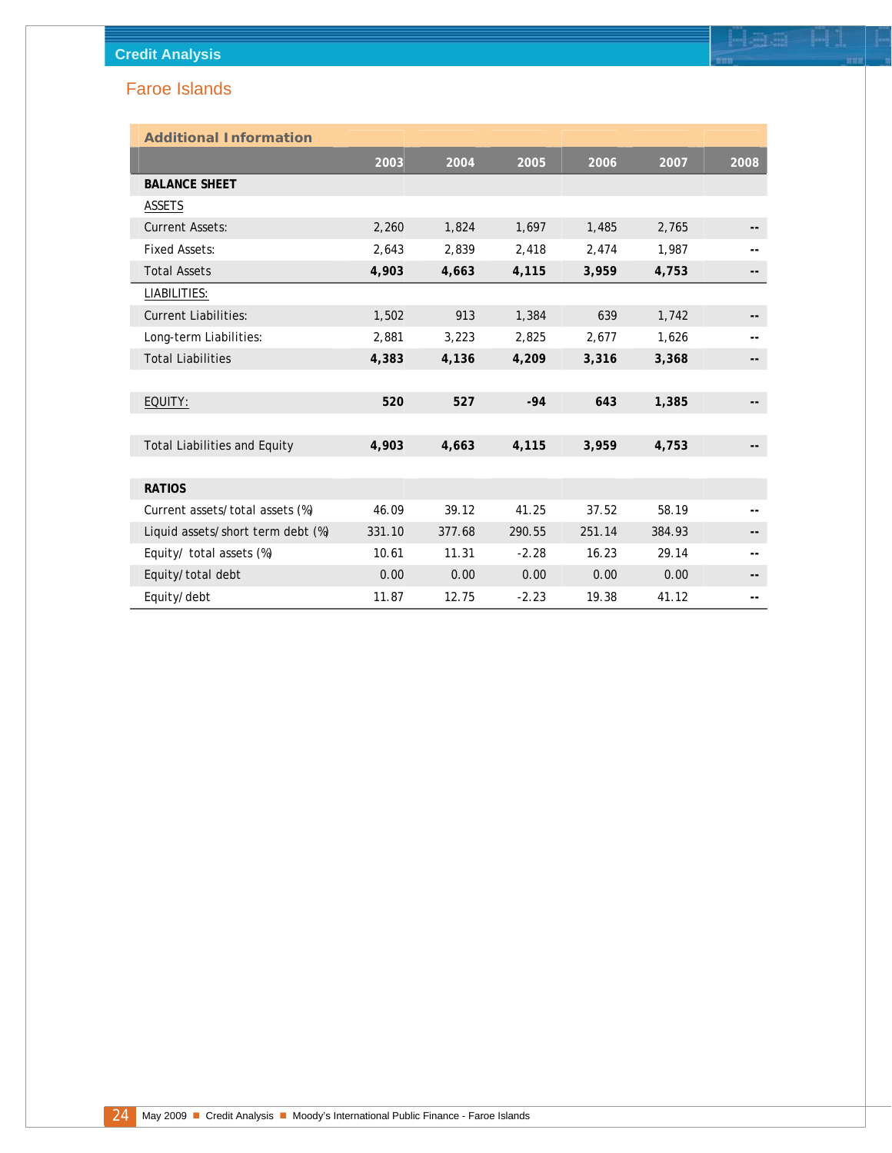| <b>Additional Information</b>       |        |        |         |        |        |      |
|-------------------------------------|--------|--------|---------|--------|--------|------|
|                                     | 2003   | 2004   | 2005    | 2006   | 2007   | 2008 |
| <b>BALANCE SHEET</b>                |        |        |         |        |        |      |
| <b>ASSETS</b>                       |        |        |         |        |        |      |
| <b>Current Assets:</b>              | 2,260  | 1,824  | 1,697   | 1,485  | 2,765  | --   |
| <b>Fixed Assets:</b>                | 2,643  | 2,839  | 2,418   | 2,474  | 1,987  |      |
| <b>Total Assets</b>                 | 4,903  | 4,663  | 4,115   | 3,959  | 4,753  | --   |
| LIABILITIES:                        |        |        |         |        |        |      |
| <b>Current Liabilities:</b>         | 1,502  | 913    | 1,384   | 639    | 1,742  |      |
| Long-term Liabilities:              | 2,881  | 3,223  | 2,825   | 2,677  | 1,626  |      |
| <b>Total Liabilities</b>            | 4,383  | 4,136  | 4,209   | 3,316  | 3,368  | --   |
|                                     |        |        |         |        |        |      |
| EQUITY:                             | 520    | 527    | $-94$   | 643    | 1,385  |      |
|                                     |        |        |         |        |        |      |
| <b>Total Liabilities and Equity</b> | 4,903  | 4,663  | 4,115   | 3,959  | 4,753  |      |
|                                     |        |        |         |        |        |      |
| <b>RATIOS</b>                       |        |        |         |        |        |      |
| Current assets/total assets (%)     | 46.09  | 39.12  | 41.25   | 37.52  | 58.19  |      |
| Liquid assets/short term debt (%)   | 331.10 | 377.68 | 290.55  | 251.14 | 384.93 | --   |
| Equity/ total assets (%)            | 10.61  | 11.31  | $-2.28$ | 16.23  | 29.14  |      |
| Equity/total debt                   | 0.00   | 0.00   | 0.00    | 0.00   | 0.00   | --   |
| Equity/debt                         | 11.87  | 12.75  | $-2.23$ | 19.38  | 41.12  | --   |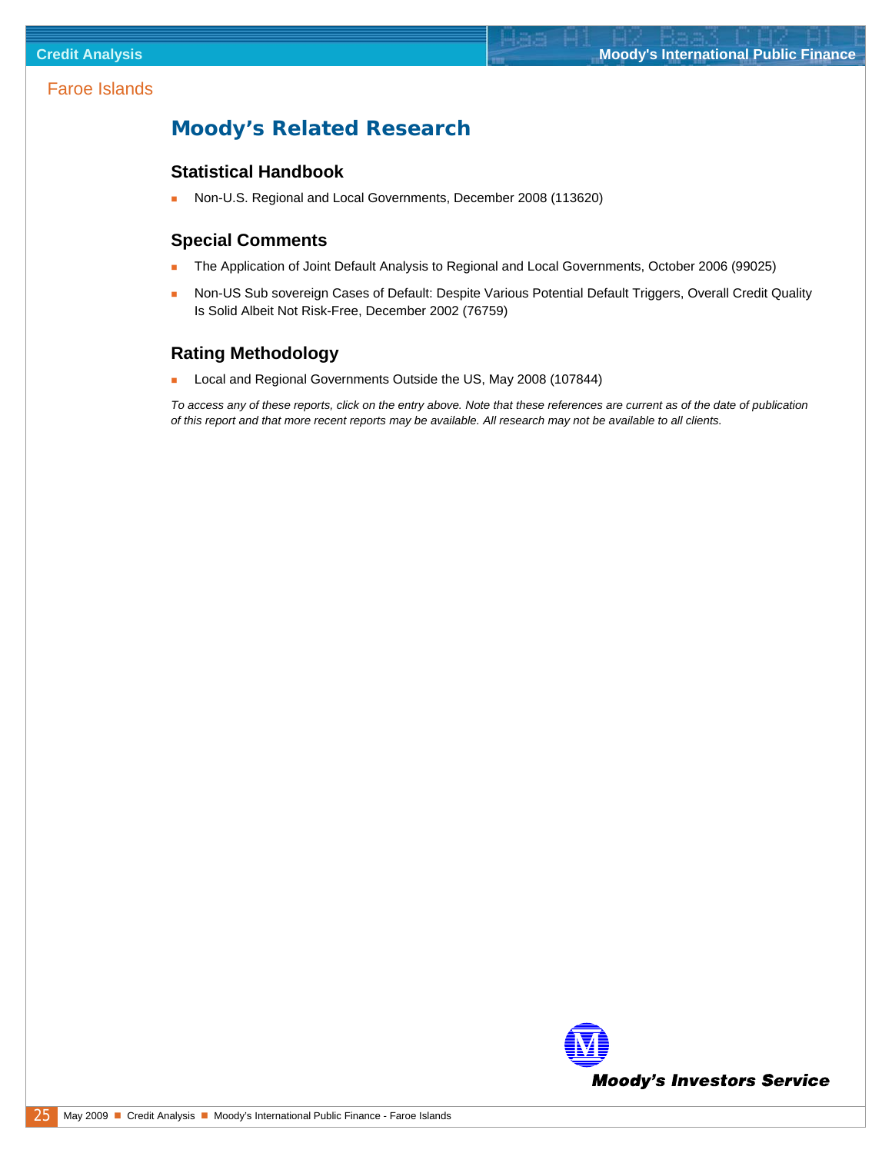### <span id="page-24-0"></span>**Moody's Related Research**

#### **Statistical Handbook**

[Non-U.S. Regional and Local Governments, December 2008 \(113620\)](http://www.moodys.com/cust/getdocumentByNotesDocId.asp?criteria=PBC_113620) 

#### **Special Comments**

- [The Application of Joint Default Analysis to Regional and Local Governments, October 2006 \(99025\)](http://www.moodys.com/cust/getdocumentByNotesDocId.asp?criteria=PBC_99025)
- [Non-US Sub sovereign Cases of Default: Despite Various Potential Default Triggers, Overall Credit Quality](http://www.moodys.com/cust/getdocumentByNotesDocId.asp?criteria=PBC_76759)  [Is Solid Albeit Not Risk-Free, December 2002 \(76759\)](http://www.moodys.com/cust/getdocumentByNotesDocId.asp?criteria=PBC_76759)

### **Rating Methodology**

[Local and Regional Governments Outside the US, May 2008 \(107844\)](http://www.moodys.com/cust/getdocumentByNotesDocId.asp?criteria=PBC_107844) 

*To access any of these reports, click on the entry above. Note that these references are current as of the date of publication of this report and that more recent reports may be available. All research may not be available to all clients.*